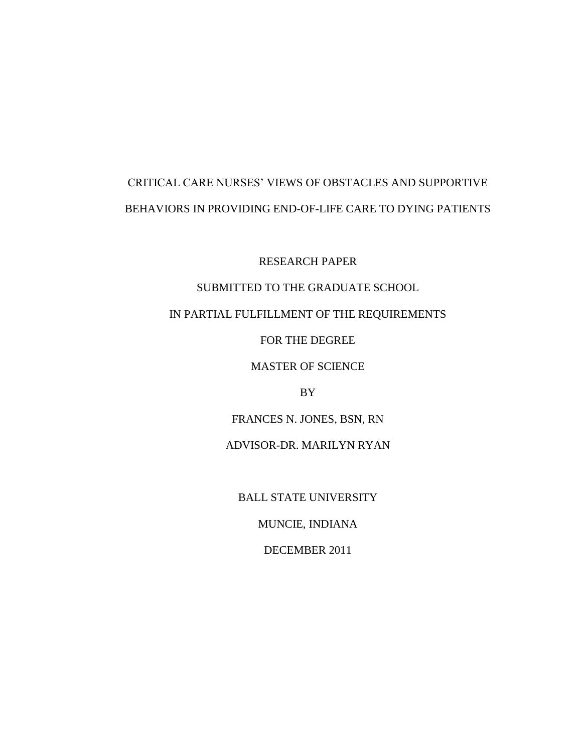# CRITICAL CARE NURSES' VIEWS OF OBSTACLES AND SUPPORTIVE BEHAVIORS IN PROVIDING END-OF-LIFE CARE TO DYING PATIENTS

RESEARCH PAPER

# SUBMITTED TO THE GRADUATE SCHOOL

# IN PARTIAL FULFILLMENT OF THE REQUIREMENTS

FOR THE DEGREE

MASTER OF SCIENCE

BY

FRANCES N. JONES, BSN, RN

ADVISOR-DR. MARILYN RYAN

BALL STATE UNIVERSITY

MUNCIE, INDIANA

DECEMBER 2011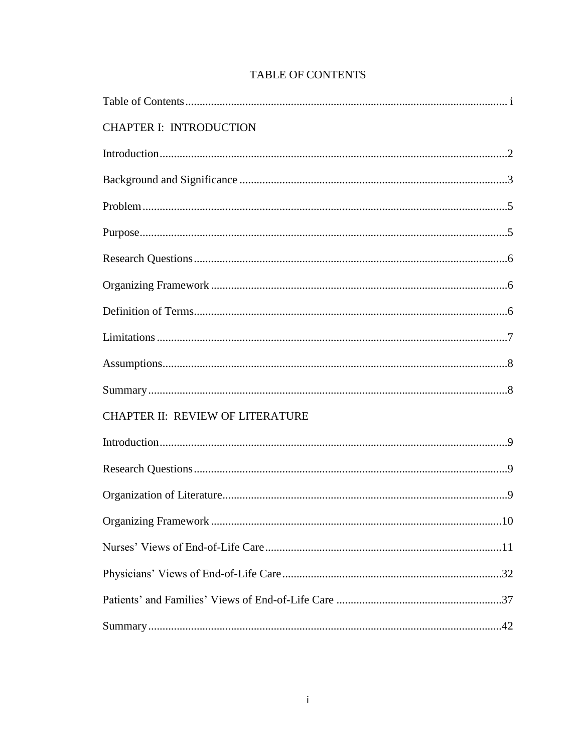| <b>CHAPTER I: INTRODUCTION</b>   |  |
|----------------------------------|--|
|                                  |  |
|                                  |  |
|                                  |  |
|                                  |  |
|                                  |  |
|                                  |  |
|                                  |  |
|                                  |  |
|                                  |  |
|                                  |  |
| CHAPTER II: REVIEW OF LITERATURE |  |
|                                  |  |
|                                  |  |
|                                  |  |
|                                  |  |
|                                  |  |
|                                  |  |
|                                  |  |
|                                  |  |

# **TABLE OF CONTENTS**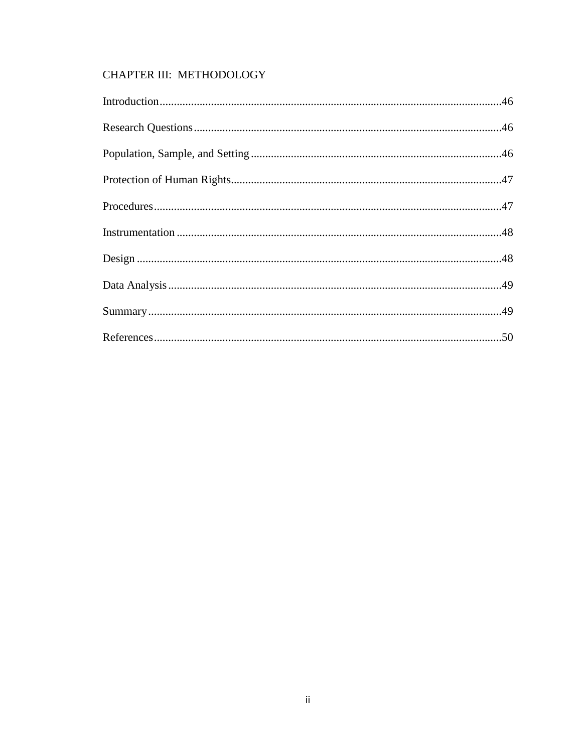# CHAPTER III: METHODOLOGY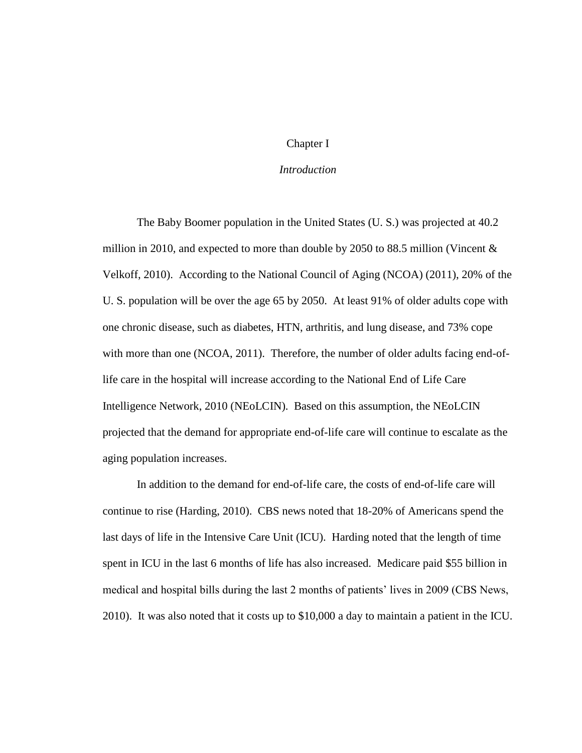# Chapter I

### *Introduction*

The Baby Boomer population in the United States (U. S.) was projected at 40.2 million in 2010, and expected to more than double by 2050 to 88.5 million (Vincent  $\&$ Velkoff, 2010). According to the National Council of Aging (NCOA) (2011), 20% of the U. S. population will be over the age 65 by 2050. At least 91% of older adults cope with one chronic disease, such as diabetes, HTN, arthritis, and lung disease, and 73% cope with more than one (NCOA, 2011). Therefore, the number of older adults facing end-oflife care in the hospital will increase according to the National End of Life Care Intelligence Network, 2010 (NEoLCIN). Based on this assumption, the NEoLCIN projected that the demand for appropriate end-of-life care will continue to escalate as the aging population increases.

In addition to the demand for end-of-life care, the costs of end-of-life care will continue to rise (Harding, 2010). CBS news noted that 18-20% of Americans spend the last days of life in the Intensive Care Unit (ICU). Harding noted that the length of time spent in ICU in the last 6 months of life has also increased. Medicare paid \$55 billion in medical and hospital bills during the last 2 months of patients' lives in 2009 (CBS News, 2010). It was also noted that it costs up to \$10,000 a day to maintain a patient in the ICU.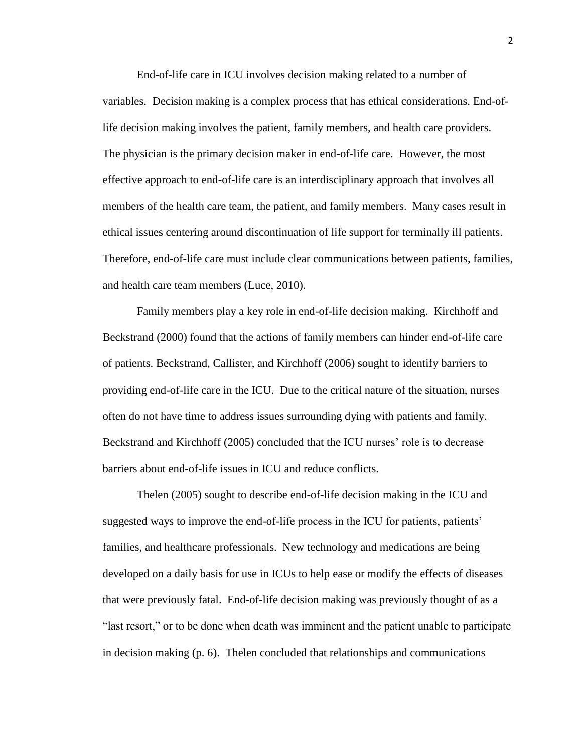End-of-life care in ICU involves decision making related to a number of variables. Decision making is a complex process that has ethical considerations. End-oflife decision making involves the patient, family members, and health care providers. The physician is the primary decision maker in end-of-life care. However, the most effective approach to end-of-life care is an interdisciplinary approach that involves all members of the health care team, the patient, and family members. Many cases result in ethical issues centering around discontinuation of life support for terminally ill patients. Therefore, end-of-life care must include clear communications between patients, families, and health care team members (Luce, 2010).

Family members play a key role in end-of-life decision making. Kirchhoff and Beckstrand (2000) found that the actions of family members can hinder end-of-life care of patients. Beckstrand, Callister, and Kirchhoff (2006) sought to identify barriers to providing end-of-life care in the ICU. Due to the critical nature of the situation, nurses often do not have time to address issues surrounding dying with patients and family. Beckstrand and Kirchhoff (2005) concluded that the ICU nurses' role is to decrease barriers about end-of-life issues in ICU and reduce conflicts.

Thelen (2005) sought to describe end-of-life decision making in the ICU and suggested ways to improve the end-of-life process in the ICU for patients, patients' families, and healthcare professionals. New technology and medications are being developed on a daily basis for use in ICUs to help ease or modify the effects of diseases that were previously fatal. End-of-life decision making was previously thought of as a "last resort," or to be done when death was imminent and the patient unable to participate in decision making (p. 6). Thelen concluded that relationships and communications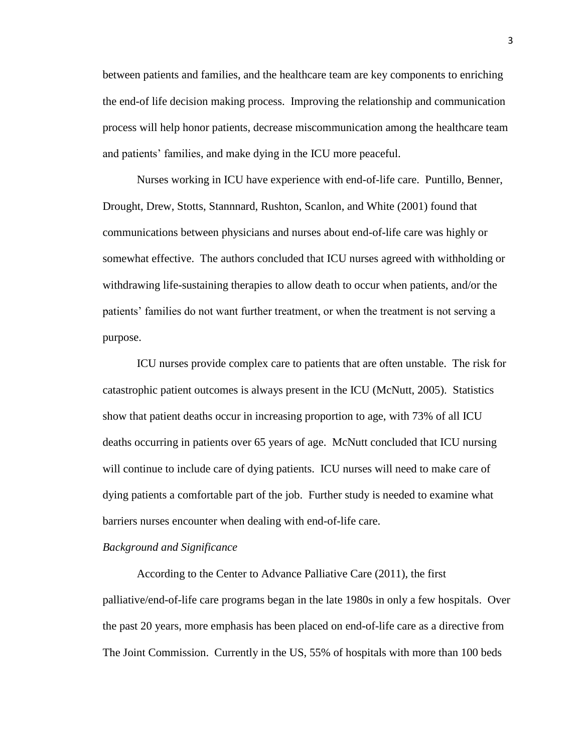between patients and families, and the healthcare team are key components to enriching the end-of life decision making process. Improving the relationship and communication process will help honor patients, decrease miscommunication among the healthcare team and patients' families, and make dying in the ICU more peaceful.

Nurses working in ICU have experience with end-of-life care. Puntillo, Benner, Drought, Drew, Stotts, Stannnard, Rushton, Scanlon, and White (2001) found that communications between physicians and nurses about end-of-life care was highly or somewhat effective. The authors concluded that ICU nurses agreed with withholding or withdrawing life-sustaining therapies to allow death to occur when patients, and/or the patients' families do not want further treatment, or when the treatment is not serving a purpose.

ICU nurses provide complex care to patients that are often unstable. The risk for catastrophic patient outcomes is always present in the ICU (McNutt, 2005). Statistics show that patient deaths occur in increasing proportion to age, with 73% of all ICU deaths occurring in patients over 65 years of age. McNutt concluded that ICU nursing will continue to include care of dying patients. ICU nurses will need to make care of dying patients a comfortable part of the job. Further study is needed to examine what barriers nurses encounter when dealing with end-of-life care.

#### *Background and Significance*

According to the Center to Advance Palliative Care (2011), the first palliative/end-of-life care programs began in the late 1980s in only a few hospitals. Over the past 20 years, more emphasis has been placed on end-of-life care as a directive from The Joint Commission. Currently in the US, 55% of hospitals with more than 100 beds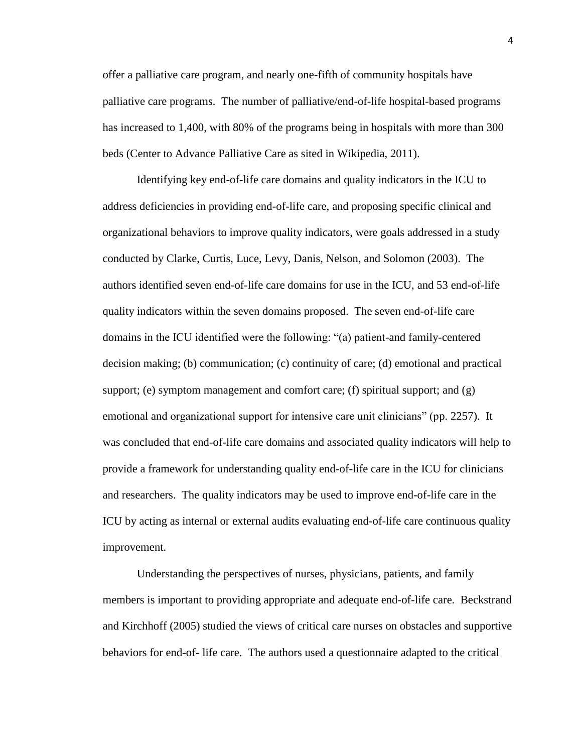offer a palliative care program, and nearly one-fifth of community hospitals have palliative care programs. The number of palliative/end-of-life hospital-based programs has increased to 1,400, with 80% of the programs being in hospitals with more than 300 beds (Center to Advance Palliative Care as sited in Wikipedia, 2011).

Identifying key end-of-life care domains and quality indicators in the ICU to address deficiencies in providing end-of-life care, and proposing specific clinical and organizational behaviors to improve quality indicators, were goals addressed in a study conducted by Clarke, Curtis, Luce, Levy, Danis, Nelson, and Solomon (2003). The authors identified seven end-of-life care domains for use in the ICU, and 53 end-of-life quality indicators within the seven domains proposed. The seven end-of-life care domains in the ICU identified were the following: "(a) patient-and family-centered decision making; (b) communication; (c) continuity of care; (d) emotional and practical support; (e) symptom management and comfort care; (f) spiritual support; and  $(g)$ emotional and organizational support for intensive care unit clinicians" (pp. 2257). It was concluded that end-of-life care domains and associated quality indicators will help to provide a framework for understanding quality end-of-life care in the ICU for clinicians and researchers. The quality indicators may be used to improve end-of-life care in the ICU by acting as internal or external audits evaluating end-of-life care continuous quality improvement.

Understanding the perspectives of nurses, physicians, patients, and family members is important to providing appropriate and adequate end-of-life care. Beckstrand and Kirchhoff (2005) studied the views of critical care nurses on obstacles and supportive behaviors for end-of- life care. The authors used a questionnaire adapted to the critical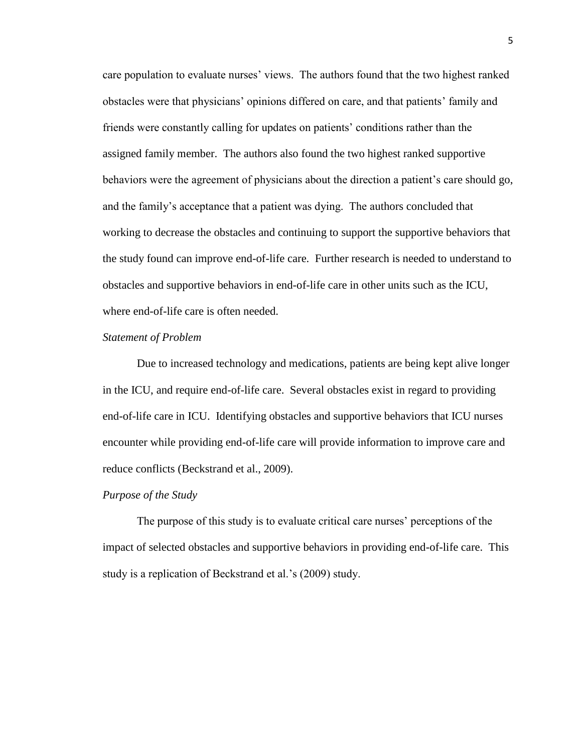care population to evaluate nurses' views. The authors found that the two highest ranked obstacles were that physicians' opinions differed on care, and that patients' family and friends were constantly calling for updates on patients' conditions rather than the assigned family member. The authors also found the two highest ranked supportive behaviors were the agreement of physicians about the direction a patient's care should go, and the family's acceptance that a patient was dying. The authors concluded that working to decrease the obstacles and continuing to support the supportive behaviors that the study found can improve end-of-life care. Further research is needed to understand to obstacles and supportive behaviors in end-of-life care in other units such as the ICU, where end-of-life care is often needed.

#### *Statement of Problem*

Due to increased technology and medications, patients are being kept alive longer in the ICU, and require end-of-life care. Several obstacles exist in regard to providing end-of-life care in ICU. Identifying obstacles and supportive behaviors that ICU nurses encounter while providing end-of-life care will provide information to improve care and reduce conflicts (Beckstrand et al., 2009).

#### *Purpose of the Study*

The purpose of this study is to evaluate critical care nurses' perceptions of the impact of selected obstacles and supportive behaviors in providing end-of-life care. This study is a replication of Beckstrand et al.'s (2009) study.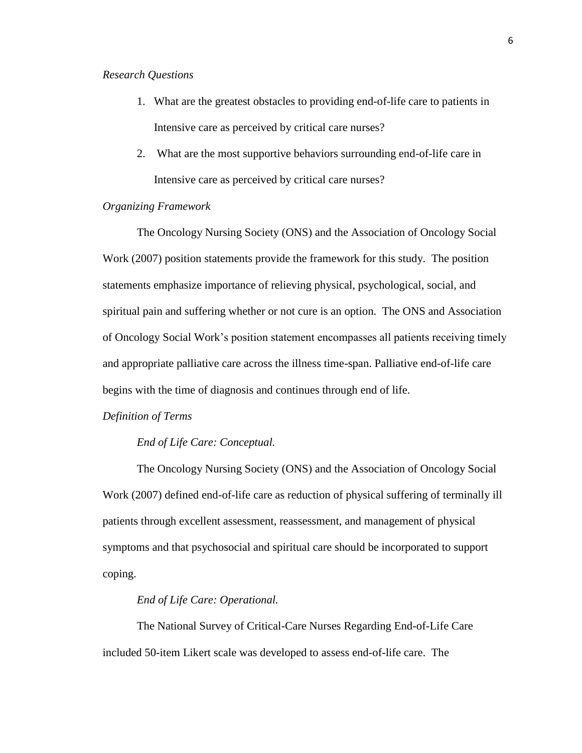#### *Research Questions*

- 1. What are the greatest obstacles to providing end-of-life care to patients in Intensive care as perceived by critical care nurses?
- 2. What are the most supportive behaviors surrounding end-of-life care in Intensive care as perceived by critical care nurses?

# *Organizing Framework*

The Oncology Nursing Society (ONS) and the Association of Oncology Social Work (2007) position statements provide the framework for this study. The position statements emphasize importance of relieving physical, psychological, social, and spiritual pain and suffering whether or not cure is an option. The ONS and Association of Oncology Social Work's position statement encompasses all patients receiving timely and appropriate palliative care across the illness time-span. Palliative end-of-life care begins with the time of diagnosis and continues through end of life.

#### *Definition of Terms*

#### *End of Life Care: Conceptual.*

The Oncology Nursing Society (ONS) and the Association of Oncology Social Work (2007) defined end-of-life care as reduction of physical suffering of terminally ill patients through excellent assessment, reassessment, and management of physical symptoms and that psychosocial and spiritual care should be incorporated to support coping.

#### *End of Life Care: Operational.*

The National Survey of Critical-Care Nurses Regarding End-of-Life Care included 50-item Likert scale was developed to assess end-of-life care. The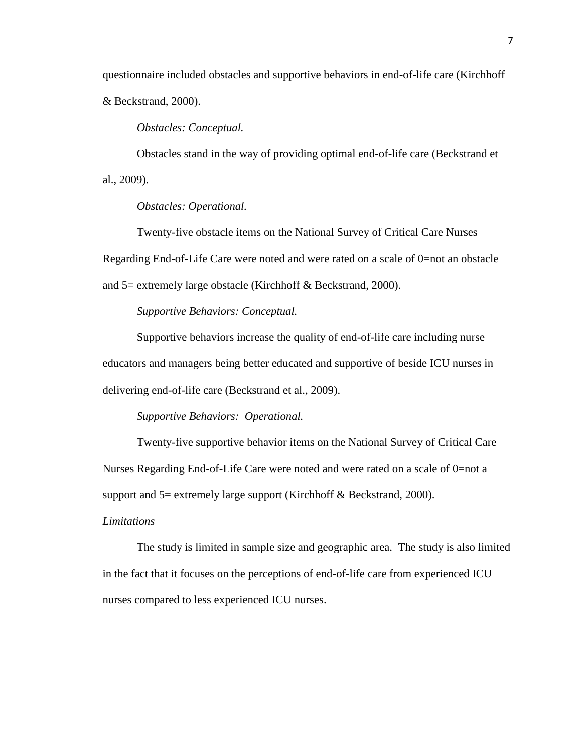questionnaire included obstacles and supportive behaviors in end-of-life care (Kirchhoff & Beckstrand, 2000).

*Obstacles: Conceptual.*

Obstacles stand in the way of providing optimal end-of-life care (Beckstrand et al., 2009).

*Obstacles: Operational.*

Twenty-five obstacle items on the National Survey of Critical Care Nurses Regarding End-of-Life Care were noted and were rated on a scale of 0=not an obstacle and 5= extremely large obstacle (Kirchhoff & Beckstrand, 2000).

*Supportive Behaviors: Conceptual.*

Supportive behaviors increase the quality of end-of-life care including nurse educators and managers being better educated and supportive of beside ICU nurses in delivering end-of-life care (Beckstrand et al., 2009).

*Supportive Behaviors: Operational.*

Twenty-five supportive behavior items on the National Survey of Critical Care Nurses Regarding End-of-Life Care were noted and were rated on a scale of 0=not a support and  $5$ = extremely large support (Kirchhoff & Beckstrand, 2000).

*Limitations*

The study is limited in sample size and geographic area. The study is also limited in the fact that it focuses on the perceptions of end-of-life care from experienced ICU nurses compared to less experienced ICU nurses.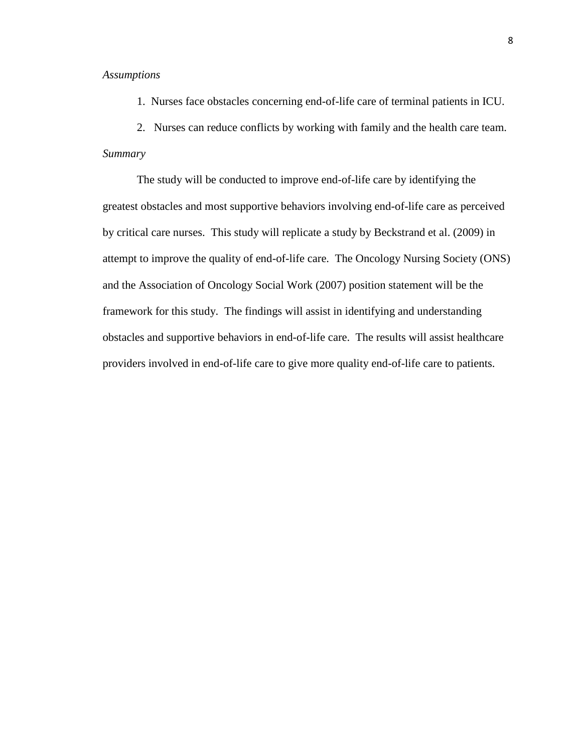#### *Assumptions*

1. Nurses face obstacles concerning end-of-life care of terminal patients in ICU.

2. Nurses can reduce conflicts by working with family and the health care team.

# *Summary*

The study will be conducted to improve end-of-life care by identifying the greatest obstacles and most supportive behaviors involving end-of-life care as perceived by critical care nurses. This study will replicate a study by Beckstrand et al. (2009) in attempt to improve the quality of end-of-life care. The Oncology Nursing Society (ONS) and the Association of Oncology Social Work (2007) position statement will be the framework for this study. The findings will assist in identifying and understanding obstacles and supportive behaviors in end-of-life care. The results will assist healthcare providers involved in end-of-life care to give more quality end-of-life care to patients.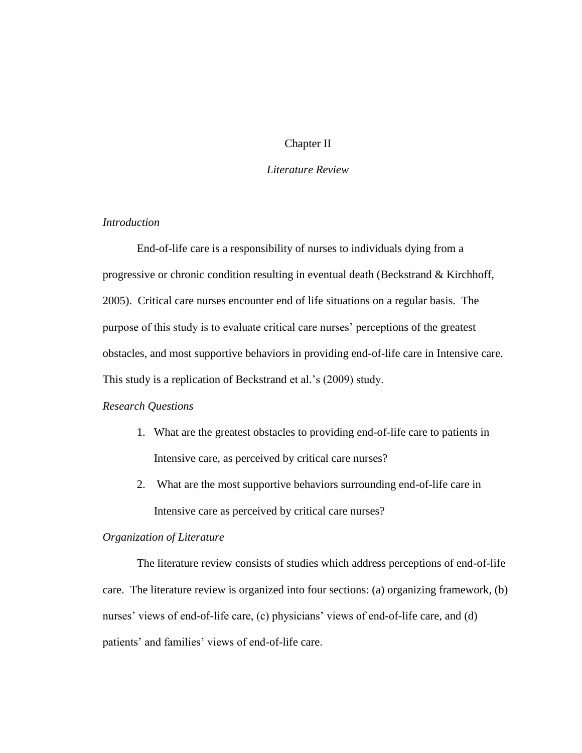# Chapter II

# *Literature Review*

# *Introduction*

End-of-life care is a responsibility of nurses to individuals dying from a progressive or chronic condition resulting in eventual death (Beckstrand & Kirchhoff, 2005). Critical care nurses encounter end of life situations on a regular basis. The purpose of this study is to evaluate critical care nurses' perceptions of the greatest obstacles, and most supportive behaviors in providing end-of-life care in Intensive care. This study is a replication of Beckstrand et al.'s (2009) study.

# *Research Questions*

- 1. What are the greatest obstacles to providing end-of-life care to patients in Intensive care, as perceived by critical care nurses?
- 2. What are the most supportive behaviors surrounding end-of-life care in Intensive care as perceived by critical care nurses?

#### *Organization of Literature*

The literature review consists of studies which address perceptions of end-of-life care. The literature review is organized into four sections: (a) organizing framework, (b) nurses' views of end-of-life care, (c) physicians' views of end-of-life care, and (d) patients' and families' views of end-of-life care.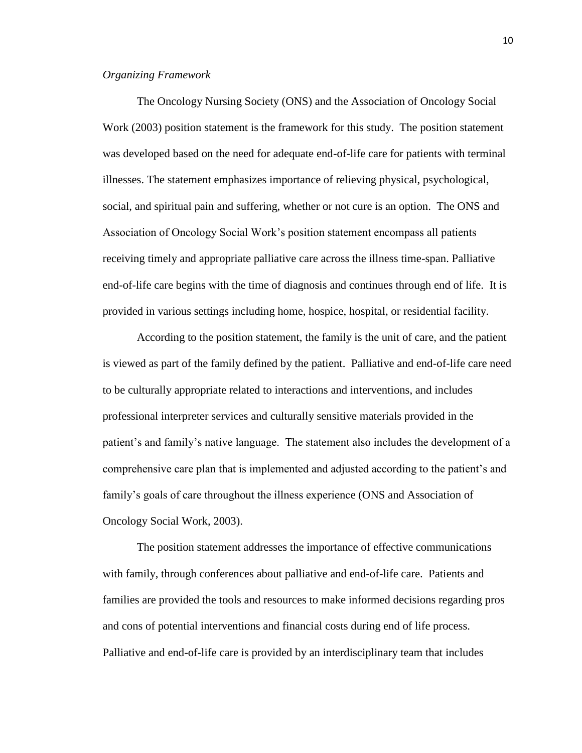# *Organizing Framework*

The Oncology Nursing Society (ONS) and the Association of Oncology Social Work (2003) position statement is the framework for this study. The position statement was developed based on the need for adequate end-of-life care for patients with terminal illnesses. The statement emphasizes importance of relieving physical, psychological, social, and spiritual pain and suffering, whether or not cure is an option. The ONS and Association of Oncology Social Work's position statement encompass all patients receiving timely and appropriate palliative care across the illness time-span. Palliative end-of-life care begins with the time of diagnosis and continues through end of life. It is provided in various settings including home, hospice, hospital, or residential facility.

According to the position statement, the family is the unit of care, and the patient is viewed as part of the family defined by the patient. Palliative and end-of-life care need to be culturally appropriate related to interactions and interventions, and includes professional interpreter services and culturally sensitive materials provided in the patient's and family's native language. The statement also includes the development of a comprehensive care plan that is implemented and adjusted according to the patient's and family's goals of care throughout the illness experience (ONS and Association of Oncology Social Work, 2003).

The position statement addresses the importance of effective communications with family, through conferences about palliative and end-of-life care. Patients and families are provided the tools and resources to make informed decisions regarding pros and cons of potential interventions and financial costs during end of life process. Palliative and end-of-life care is provided by an interdisciplinary team that includes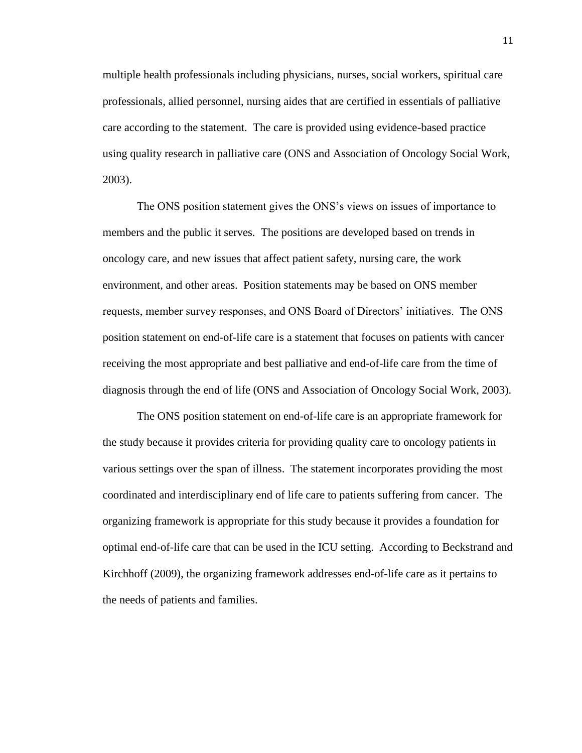multiple health professionals including physicians, nurses, social workers, spiritual care professionals, allied personnel, nursing aides that are certified in essentials of palliative care according to the statement. The care is provided using evidence-based practice using quality research in palliative care (ONS and Association of Oncology Social Work, 2003).

The ONS position statement gives the ONS's views on issues of importance to members and the public it serves. The positions are developed based on trends in oncology care, and new issues that affect patient safety, nursing care, the work environment, and other areas. Position statements may be based on ONS member requests, member survey responses, and ONS Board of Directors' initiatives. The ONS position statement on end-of-life care is a statement that focuses on patients with cancer receiving the most appropriate and best palliative and end-of-life care from the time of diagnosis through the end of life (ONS and Association of Oncology Social Work, 2003).

The ONS position statement on end-of-life care is an appropriate framework for the study because it provides criteria for providing quality care to oncology patients in various settings over the span of illness. The statement incorporates providing the most coordinated and interdisciplinary end of life care to patients suffering from cancer. The organizing framework is appropriate for this study because it provides a foundation for optimal end-of-life care that can be used in the ICU setting. According to Beckstrand and Kirchhoff (2009), the organizing framework addresses end-of-life care as it pertains to the needs of patients and families.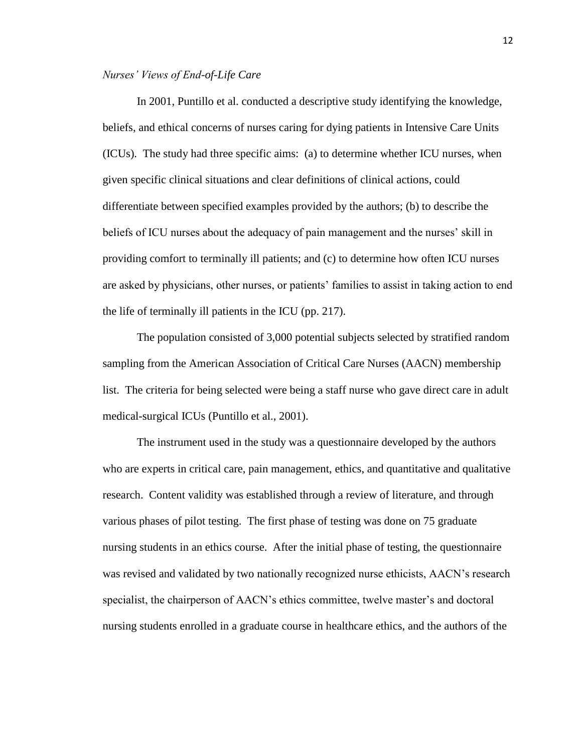#### *Nurses' Views of End-of-Life Care*

In 2001, Puntillo et al. conducted a descriptive study identifying the knowledge, beliefs, and ethical concerns of nurses caring for dying patients in Intensive Care Units (ICUs). The study had three specific aims: (a) to determine whether ICU nurses, when given specific clinical situations and clear definitions of clinical actions, could differentiate between specified examples provided by the authors; (b) to describe the beliefs of ICU nurses about the adequacy of pain management and the nurses' skill in providing comfort to terminally ill patients; and (c) to determine how often ICU nurses are asked by physicians, other nurses, or patients' families to assist in taking action to end the life of terminally ill patients in the ICU (pp. 217).

The population consisted of 3,000 potential subjects selected by stratified random sampling from the American Association of Critical Care Nurses (AACN) membership list. The criteria for being selected were being a staff nurse who gave direct care in adult medical-surgical ICUs (Puntillo et al., 2001).

The instrument used in the study was a questionnaire developed by the authors who are experts in critical care, pain management, ethics, and quantitative and qualitative research. Content validity was established through a review of literature, and through various phases of pilot testing. The first phase of testing was done on 75 graduate nursing students in an ethics course. After the initial phase of testing, the questionnaire was revised and validated by two nationally recognized nurse ethicists, AACN's research specialist, the chairperson of AACN's ethics committee, twelve master's and doctoral nursing students enrolled in a graduate course in healthcare ethics, and the authors of the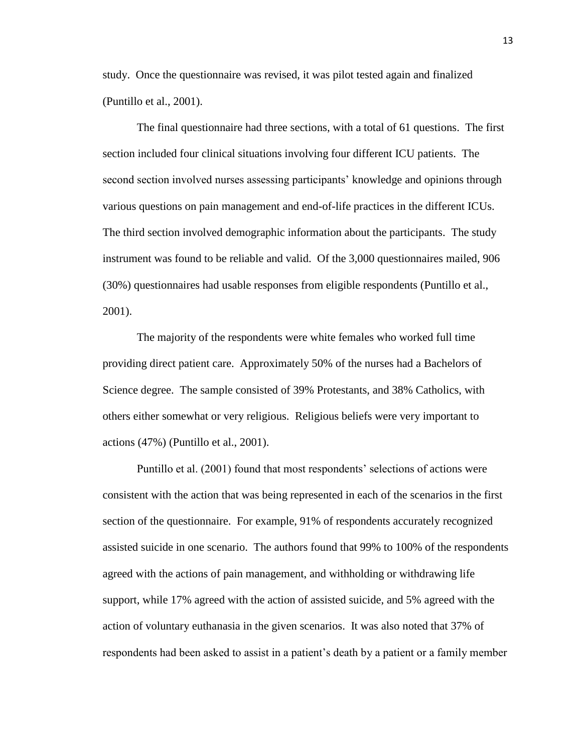study. Once the questionnaire was revised, it was pilot tested again and finalized (Puntillo et al., 2001).

The final questionnaire had three sections, with a total of 61 questions. The first section included four clinical situations involving four different ICU patients. The second section involved nurses assessing participants' knowledge and opinions through various questions on pain management and end-of-life practices in the different ICUs. The third section involved demographic information about the participants. The study instrument was found to be reliable and valid. Of the 3,000 questionnaires mailed, 906 (30%) questionnaires had usable responses from eligible respondents (Puntillo et al., 2001).

The majority of the respondents were white females who worked full time providing direct patient care. Approximately 50% of the nurses had a Bachelors of Science degree. The sample consisted of 39% Protestants, and 38% Catholics, with others either somewhat or very religious. Religious beliefs were very important to actions (47%) (Puntillo et al., 2001).

Puntillo et al. (2001) found that most respondents' selections of actions were consistent with the action that was being represented in each of the scenarios in the first section of the questionnaire. For example, 91% of respondents accurately recognized assisted suicide in one scenario. The authors found that 99% to 100% of the respondents agreed with the actions of pain management, and withholding or withdrawing life support, while 17% agreed with the action of assisted suicide, and 5% agreed with the action of voluntary euthanasia in the given scenarios. It was also noted that 37% of respondents had been asked to assist in a patient's death by a patient or a family member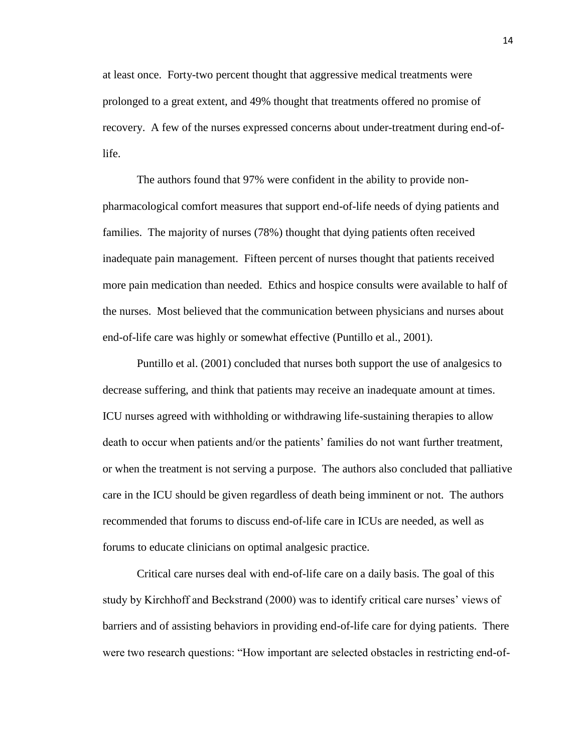at least once. Forty-two percent thought that aggressive medical treatments were prolonged to a great extent, and 49% thought that treatments offered no promise of recovery. A few of the nurses expressed concerns about under-treatment during end-oflife.

The authors found that 97% were confident in the ability to provide nonpharmacological comfort measures that support end-of-life needs of dying patients and families. The majority of nurses (78%) thought that dying patients often received inadequate pain management. Fifteen percent of nurses thought that patients received more pain medication than needed. Ethics and hospice consults were available to half of the nurses. Most believed that the communication between physicians and nurses about end-of-life care was highly or somewhat effective (Puntillo et al., 2001).

Puntillo et al. (2001) concluded that nurses both support the use of analgesics to decrease suffering, and think that patients may receive an inadequate amount at times. ICU nurses agreed with withholding or withdrawing life-sustaining therapies to allow death to occur when patients and/or the patients' families do not want further treatment, or when the treatment is not serving a purpose. The authors also concluded that palliative care in the ICU should be given regardless of death being imminent or not. The authors recommended that forums to discuss end-of-life care in ICUs are needed, as well as forums to educate clinicians on optimal analgesic practice.

Critical care nurses deal with end-of-life care on a daily basis. The goal of this study by Kirchhoff and Beckstrand (2000) was to identify critical care nurses' views of barriers and of assisting behaviors in providing end-of-life care for dying patients. There were two research questions: "How important are selected obstacles in restricting end-of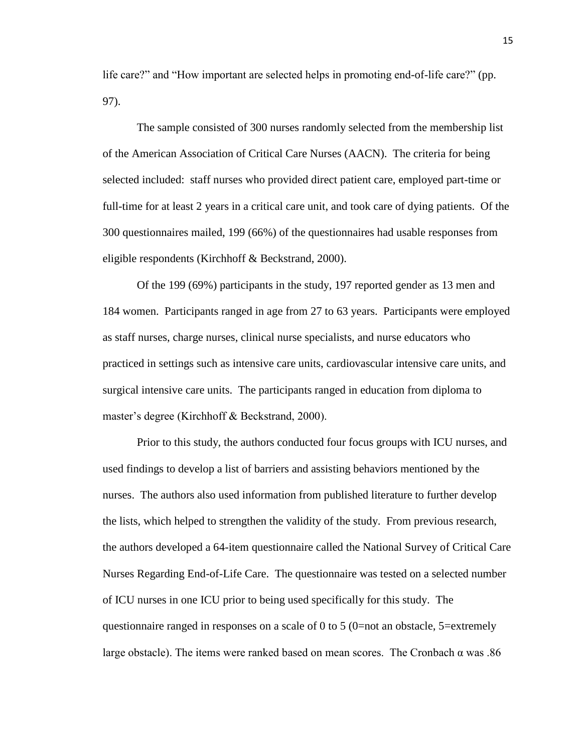life care?" and "How important are selected helps in promoting end-of-life care?" (pp. 97).

The sample consisted of 300 nurses randomly selected from the membership list of the American Association of Critical Care Nurses (AACN). The criteria for being selected included: staff nurses who provided direct patient care, employed part-time or full-time for at least 2 years in a critical care unit, and took care of dying patients. Of the 300 questionnaires mailed, 199 (66%) of the questionnaires had usable responses from eligible respondents (Kirchhoff & Beckstrand, 2000).

Of the 199 (69%) participants in the study, 197 reported gender as 13 men and 184 women. Participants ranged in age from 27 to 63 years. Participants were employed as staff nurses, charge nurses, clinical nurse specialists, and nurse educators who practiced in settings such as intensive care units, cardiovascular intensive care units, and surgical intensive care units. The participants ranged in education from diploma to master's degree (Kirchhoff & Beckstrand, 2000).

Prior to this study, the authors conducted four focus groups with ICU nurses, and used findings to develop a list of barriers and assisting behaviors mentioned by the nurses. The authors also used information from published literature to further develop the lists, which helped to strengthen the validity of the study. From previous research, the authors developed a 64-item questionnaire called the National Survey of Critical Care Nurses Regarding End-of-Life Care. The questionnaire was tested on a selected number of ICU nurses in one ICU prior to being used specifically for this study. The questionnaire ranged in responses on a scale of 0 to 5 (0=not an obstacle,  $5$ =extremely large obstacle). The items were ranked based on mean scores. The Cronbach  $\alpha$  was .86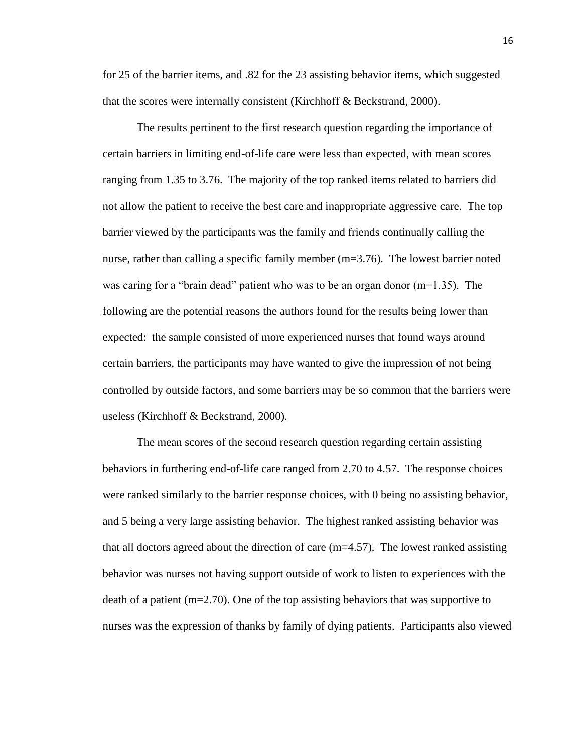for 25 of the barrier items, and .82 for the 23 assisting behavior items, which suggested that the scores were internally consistent (Kirchhoff & Beckstrand, 2000).

The results pertinent to the first research question regarding the importance of certain barriers in limiting end-of-life care were less than expected, with mean scores ranging from 1.35 to 3.76. The majority of the top ranked items related to barriers did not allow the patient to receive the best care and inappropriate aggressive care. The top barrier viewed by the participants was the family and friends continually calling the nurse, rather than calling a specific family member (m=3.76). The lowest barrier noted was caring for a "brain dead" patient who was to be an organ donor  $(m=1.35)$ . The following are the potential reasons the authors found for the results being lower than expected: the sample consisted of more experienced nurses that found ways around certain barriers, the participants may have wanted to give the impression of not being controlled by outside factors, and some barriers may be so common that the barriers were useless (Kirchhoff & Beckstrand, 2000).

The mean scores of the second research question regarding certain assisting behaviors in furthering end-of-life care ranged from 2.70 to 4.57. The response choices were ranked similarly to the barrier response choices, with 0 being no assisting behavior, and 5 being a very large assisting behavior. The highest ranked assisting behavior was that all doctors agreed about the direction of care  $(m=4.57)$ . The lowest ranked assisting behavior was nurses not having support outside of work to listen to experiences with the death of a patient (m=2.70). One of the top assisting behaviors that was supportive to nurses was the expression of thanks by family of dying patients. Participants also viewed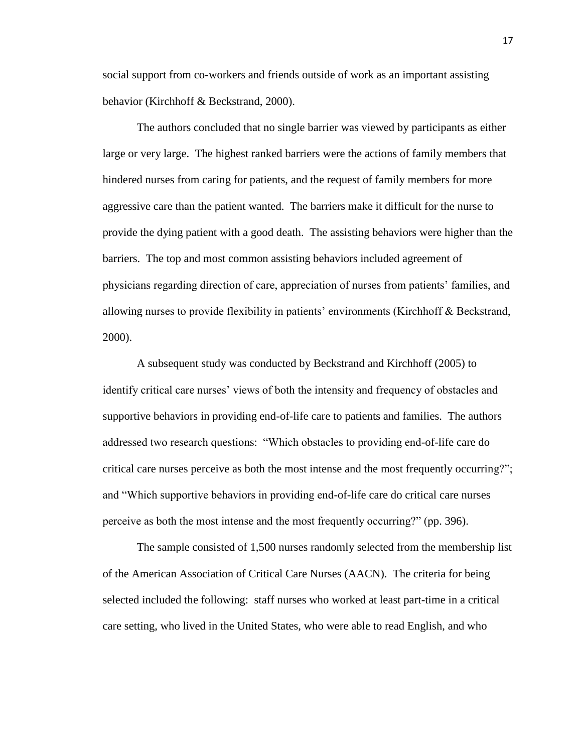social support from co-workers and friends outside of work as an important assisting behavior (Kirchhoff & Beckstrand, 2000).

The authors concluded that no single barrier was viewed by participants as either large or very large. The highest ranked barriers were the actions of family members that hindered nurses from caring for patients, and the request of family members for more aggressive care than the patient wanted. The barriers make it difficult for the nurse to provide the dying patient with a good death. The assisting behaviors were higher than the barriers. The top and most common assisting behaviors included agreement of physicians regarding direction of care, appreciation of nurses from patients' families, and allowing nurses to provide flexibility in patients' environments (Kirchhoff & Beckstrand, 2000).

A subsequent study was conducted by Beckstrand and Kirchhoff (2005) to identify critical care nurses' views of both the intensity and frequency of obstacles and supportive behaviors in providing end-of-life care to patients and families. The authors addressed two research questions: "Which obstacles to providing end-of-life care do critical care nurses perceive as both the most intense and the most frequently occurring?"; and "Which supportive behaviors in providing end-of-life care do critical care nurses perceive as both the most intense and the most frequently occurring?" (pp. 396).

The sample consisted of 1,500 nurses randomly selected from the membership list of the American Association of Critical Care Nurses (AACN). The criteria for being selected included the following: staff nurses who worked at least part-time in a critical care setting, who lived in the United States, who were able to read English, and who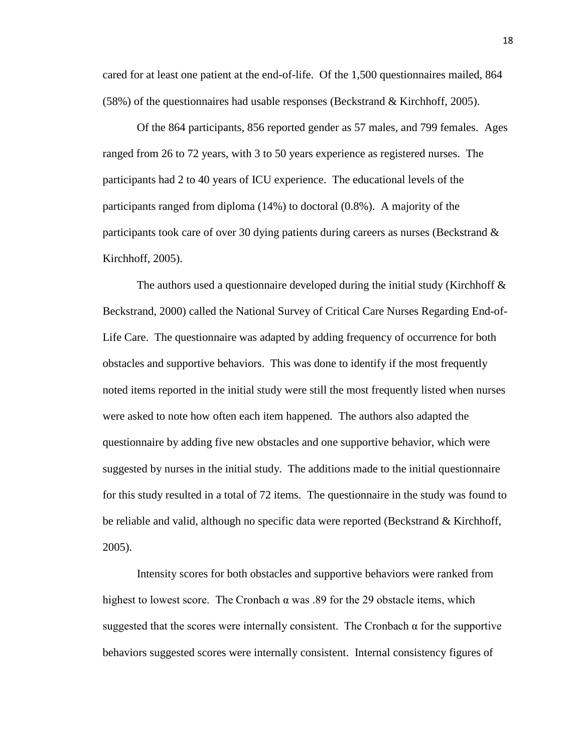cared for at least one patient at the end-of-life. Of the 1,500 questionnaires mailed, 864 (58%) of the questionnaires had usable responses (Beckstrand & Kirchhoff, 2005).

Of the 864 participants, 856 reported gender as 57 males, and 799 females. Ages ranged from 26 to 72 years, with 3 to 50 years experience as registered nurses. The participants had 2 to 40 years of ICU experience. The educational levels of the participants ranged from diploma (14%) to doctoral (0.8%). A majority of the participants took care of over 30 dying patients during careers as nurses (Beckstrand & Kirchhoff, 2005).

The authors used a questionnaire developed during the initial study (Kirchhoff  $\&$ Beckstrand, 2000) called the National Survey of Critical Care Nurses Regarding End-of-Life Care. The questionnaire was adapted by adding frequency of occurrence for both obstacles and supportive behaviors. This was done to identify if the most frequently noted items reported in the initial study were still the most frequently listed when nurses were asked to note how often each item happened. The authors also adapted the questionnaire by adding five new obstacles and one supportive behavior, which were suggested by nurses in the initial study. The additions made to the initial questionnaire for this study resulted in a total of 72 items. The questionnaire in the study was found to be reliable and valid, although no specific data were reported (Beckstrand & Kirchhoff, 2005).

Intensity scores for both obstacles and supportive behaviors were ranked from highest to lowest score. The Cronbach  $\alpha$  was .89 for the 29 obstacle items, which suggested that the scores were internally consistent. The Cronbach  $\alpha$  for the supportive behaviors suggested scores were internally consistent. Internal consistency figures of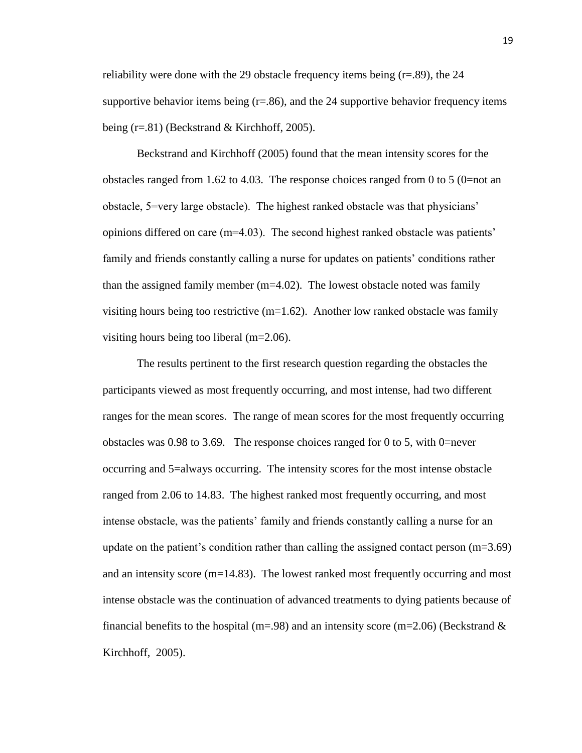reliability were done with the 29 obstacle frequency items being  $(r=.89)$ , the 24 supportive behavior items being  $(r=.86)$ , and the 24 supportive behavior frequency items being (r=.81) (Beckstrand & Kirchhoff, 2005).

Beckstrand and Kirchhoff (2005) found that the mean intensity scores for the obstacles ranged from 1.62 to 4.03. The response choices ranged from 0 to 5 (0=not an obstacle, 5=very large obstacle). The highest ranked obstacle was that physicians' opinions differed on care  $(m=4.03)$ . The second highest ranked obstacle was patients' family and friends constantly calling a nurse for updates on patients' conditions rather than the assigned family member (m=4.02). The lowest obstacle noted was family visiting hours being too restrictive  $(m=1.62)$ . Another low ranked obstacle was family visiting hours being too liberal (m=2.06).

The results pertinent to the first research question regarding the obstacles the participants viewed as most frequently occurring, and most intense, had two different ranges for the mean scores. The range of mean scores for the most frequently occurring obstacles was 0.98 to 3.69. The response choices ranged for 0 to 5, with 0=never occurring and 5=always occurring. The intensity scores for the most intense obstacle ranged from 2.06 to 14.83. The highest ranked most frequently occurring, and most intense obstacle, was the patients' family and friends constantly calling a nurse for an update on the patient's condition rather than calling the assigned contact person  $(m=3.69)$ and an intensity score  $(m=14.83)$ . The lowest ranked most frequently occurring and most intense obstacle was the continuation of advanced treatments to dying patients because of financial benefits to the hospital (m=.98) and an intensity score (m=2.06) (Beckstrand  $\&$ Kirchhoff, 2005).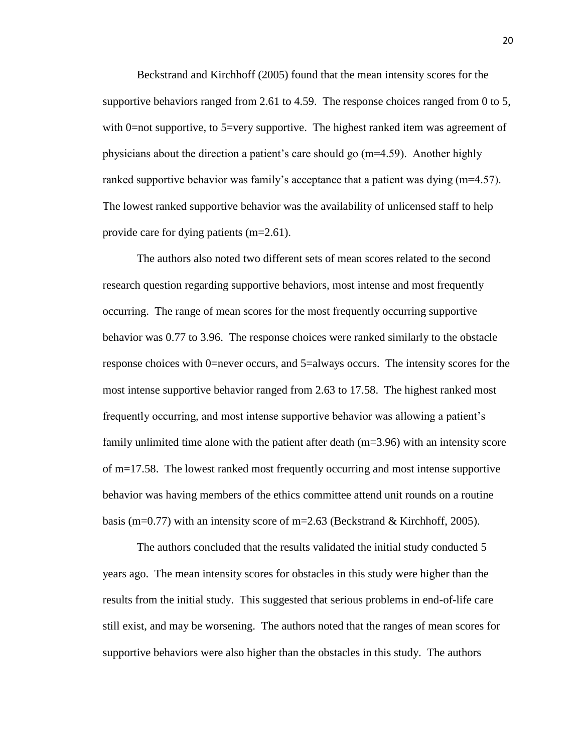Beckstrand and Kirchhoff (2005) found that the mean intensity scores for the supportive behaviors ranged from 2.61 to 4.59. The response choices ranged from 0 to 5, with 0=not supportive, to 5=very supportive. The highest ranked item was agreement of physicians about the direction a patient's care should go (m=4.59). Another highly ranked supportive behavior was family's acceptance that a patient was dying (m=4.57). The lowest ranked supportive behavior was the availability of unlicensed staff to help provide care for dying patients (m=2.61).

The authors also noted two different sets of mean scores related to the second research question regarding supportive behaviors, most intense and most frequently occurring. The range of mean scores for the most frequently occurring supportive behavior was 0.77 to 3.96. The response choices were ranked similarly to the obstacle response choices with 0=never occurs, and 5=always occurs. The intensity scores for the most intense supportive behavior ranged from 2.63 to 17.58. The highest ranked most frequently occurring, and most intense supportive behavior was allowing a patient's family unlimited time alone with the patient after death (m=3.96) with an intensity score of m=17.58. The lowest ranked most frequently occurring and most intense supportive behavior was having members of the ethics committee attend unit rounds on a routine basis (m=0.77) with an intensity score of m=2.63 (Beckstrand & Kirchhoff, 2005).

The authors concluded that the results validated the initial study conducted 5 years ago. The mean intensity scores for obstacles in this study were higher than the results from the initial study. This suggested that serious problems in end-of-life care still exist, and may be worsening. The authors noted that the ranges of mean scores for supportive behaviors were also higher than the obstacles in this study. The authors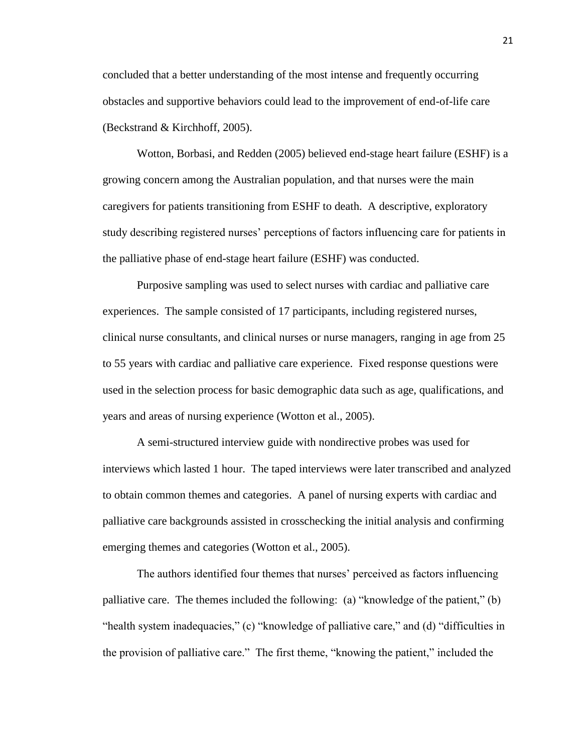concluded that a better understanding of the most intense and frequently occurring obstacles and supportive behaviors could lead to the improvement of end-of-life care (Beckstrand & Kirchhoff, 2005).

Wotton, Borbasi, and Redden (2005) believed end-stage heart failure (ESHF) is a growing concern among the Australian population, and that nurses were the main caregivers for patients transitioning from ESHF to death. A descriptive, exploratory study describing registered nurses' perceptions of factors influencing care for patients in the palliative phase of end-stage heart failure (ESHF) was conducted.

Purposive sampling was used to select nurses with cardiac and palliative care experiences. The sample consisted of 17 participants, including registered nurses, clinical nurse consultants, and clinical nurses or nurse managers, ranging in age from 25 to 55 years with cardiac and palliative care experience. Fixed response questions were used in the selection process for basic demographic data such as age, qualifications, and years and areas of nursing experience (Wotton et al., 2005).

A semi-structured interview guide with nondirective probes was used for interviews which lasted 1 hour. The taped interviews were later transcribed and analyzed to obtain common themes and categories. A panel of nursing experts with cardiac and palliative care backgrounds assisted in crosschecking the initial analysis and confirming emerging themes and categories (Wotton et al., 2005).

The authors identified four themes that nurses' perceived as factors influencing palliative care. The themes included the following: (a) "knowledge of the patient," (b) "health system inadequacies," (c) "knowledge of palliative care," and (d) "difficulties in the provision of palliative care." The first theme, "knowing the patient," included the

21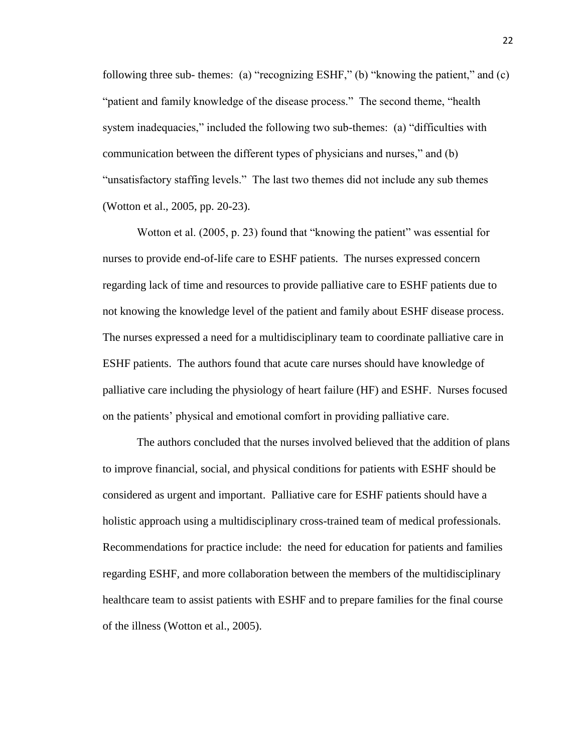following three sub- themes: (a) "recognizing ESHF," (b) "knowing the patient," and  $(c)$ "patient and family knowledge of the disease process." The second theme, "health system inadequacies," included the following two sub-themes: (a) "difficulties with communication between the different types of physicians and nurses," and (b) "unsatisfactory staffing levels." The last two themes did not include any sub themes (Wotton et al., 2005, pp. 20-23).

Wotton et al.  $(2005, p. 23)$  found that "knowing the patient" was essential for nurses to provide end-of-life care to ESHF patients. The nurses expressed concern regarding lack of time and resources to provide palliative care to ESHF patients due to not knowing the knowledge level of the patient and family about ESHF disease process. The nurses expressed a need for a multidisciplinary team to coordinate palliative care in ESHF patients. The authors found that acute care nurses should have knowledge of palliative care including the physiology of heart failure (HF) and ESHF. Nurses focused on the patients' physical and emotional comfort in providing palliative care.

The authors concluded that the nurses involved believed that the addition of plans to improve financial, social, and physical conditions for patients with ESHF should be considered as urgent and important. Palliative care for ESHF patients should have a holistic approach using a multidisciplinary cross-trained team of medical professionals. Recommendations for practice include: the need for education for patients and families regarding ESHF, and more collaboration between the members of the multidisciplinary healthcare team to assist patients with ESHF and to prepare families for the final course of the illness (Wotton et al., 2005).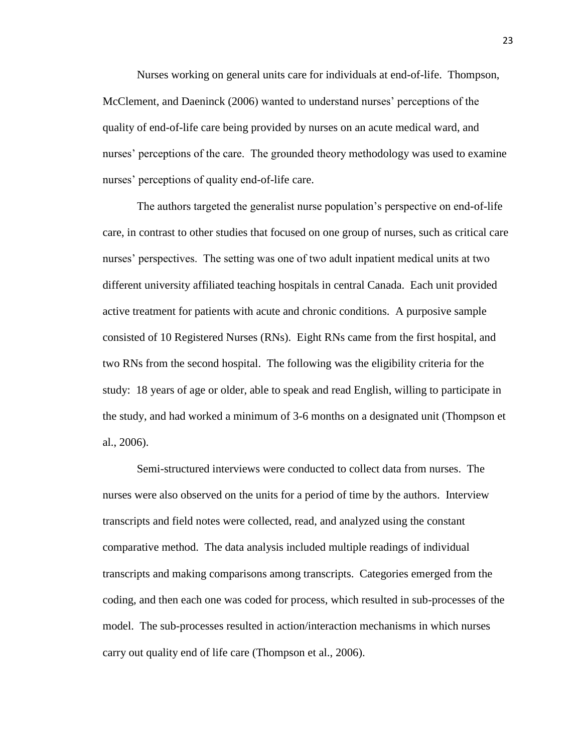Nurses working on general units care for individuals at end-of-life. Thompson, McClement, and Daeninck (2006) wanted to understand nurses' perceptions of the quality of end-of-life care being provided by nurses on an acute medical ward, and nurses' perceptions of the care. The grounded theory methodology was used to examine nurses' perceptions of quality end-of-life care.

The authors targeted the generalist nurse population's perspective on end-of-life care, in contrast to other studies that focused on one group of nurses, such as critical care nurses' perspectives. The setting was one of two adult inpatient medical units at two different university affiliated teaching hospitals in central Canada. Each unit provided active treatment for patients with acute and chronic conditions. A purposive sample consisted of 10 Registered Nurses (RNs). Eight RNs came from the first hospital, and two RNs from the second hospital. The following was the eligibility criteria for the study: 18 years of age or older, able to speak and read English, willing to participate in the study, and had worked a minimum of 3-6 months on a designated unit (Thompson et al., 2006).

Semi-structured interviews were conducted to collect data from nurses. The nurses were also observed on the units for a period of time by the authors. Interview transcripts and field notes were collected, read, and analyzed using the constant comparative method. The data analysis included multiple readings of individual transcripts and making comparisons among transcripts. Categories emerged from the coding, and then each one was coded for process, which resulted in sub-processes of the model. The sub-processes resulted in action/interaction mechanisms in which nurses carry out quality end of life care (Thompson et al., 2006).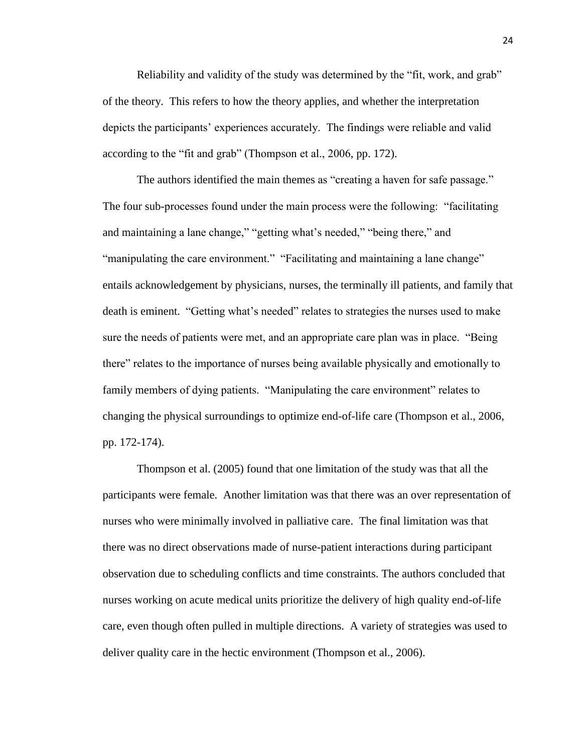Reliability and validity of the study was determined by the "fit, work, and grab" of the theory. This refers to how the theory applies, and whether the interpretation depicts the participants' experiences accurately. The findings were reliable and valid according to the "fit and grab" (Thompson et al., 2006, pp. 172).

The authors identified the main themes as "creating a haven for safe passage." The four sub-processes found under the main process were the following: "facilitating and maintaining a lane change," "getting what's needed," "being there," and "manipulating the care environment." "Facilitating and maintaining a lane change" entails acknowledgement by physicians, nurses, the terminally ill patients, and family that death is eminent. "Getting what's needed" relates to strategies the nurses used to make sure the needs of patients were met, and an appropriate care plan was in place. "Being there" relates to the importance of nurses being available physically and emotionally to family members of dying patients. "Manipulating the care environment" relates to changing the physical surroundings to optimize end-of-life care (Thompson et al., 2006, pp. 172-174).

Thompson et al. (2005) found that one limitation of the study was that all the participants were female. Another limitation was that there was an over representation of nurses who were minimally involved in palliative care. The final limitation was that there was no direct observations made of nurse-patient interactions during participant observation due to scheduling conflicts and time constraints. The authors concluded that nurses working on acute medical units prioritize the delivery of high quality end-of-life care, even though often pulled in multiple directions. A variety of strategies was used to deliver quality care in the hectic environment (Thompson et al., 2006).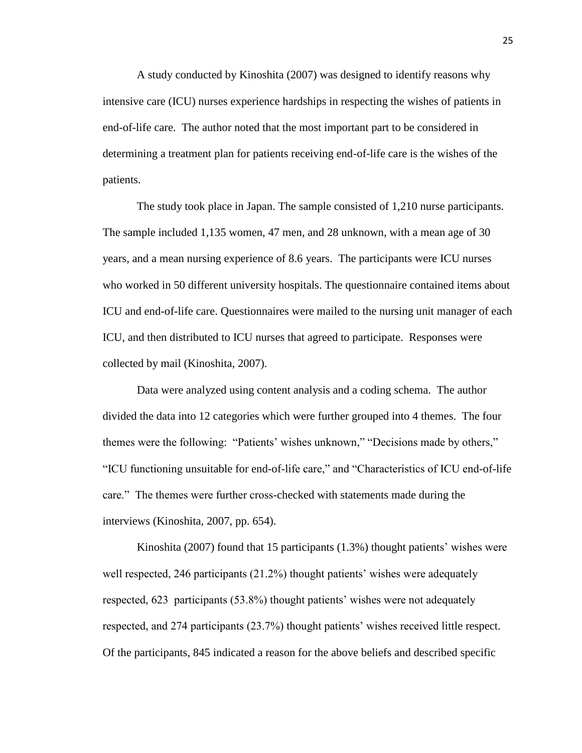A study conducted by Kinoshita (2007) was designed to identify reasons why intensive care (ICU) nurses experience hardships in respecting the wishes of patients in end-of-life care. The author noted that the most important part to be considered in determining a treatment plan for patients receiving end-of-life care is the wishes of the patients.

The study took place in Japan. The sample consisted of 1,210 nurse participants. The sample included 1,135 women, 47 men, and 28 unknown, with a mean age of 30 years, and a mean nursing experience of 8.6 years. The participants were ICU nurses who worked in 50 different university hospitals. The questionnaire contained items about ICU and end-of-life care. Questionnaires were mailed to the nursing unit manager of each ICU, and then distributed to ICU nurses that agreed to participate. Responses were collected by mail (Kinoshita, 2007).

Data were analyzed using content analysis and a coding schema. The author divided the data into 12 categories which were further grouped into 4 themes. The four themes were the following: "Patients' wishes unknown," "Decisions made by others," ―ICU functioning unsuitable for end-of-life care,‖ and ―Characteristics of ICU end-of-life care." The themes were further cross-checked with statements made during the interviews (Kinoshita, 2007, pp. 654).

Kinoshita (2007) found that 15 participants (1.3%) thought patients' wishes were well respected, 246 participants (21.2%) thought patients' wishes were adequately respected, 623 participants (53.8%) thought patients' wishes were not adequately respected, and 274 participants (23.7%) thought patients' wishes received little respect. Of the participants, 845 indicated a reason for the above beliefs and described specific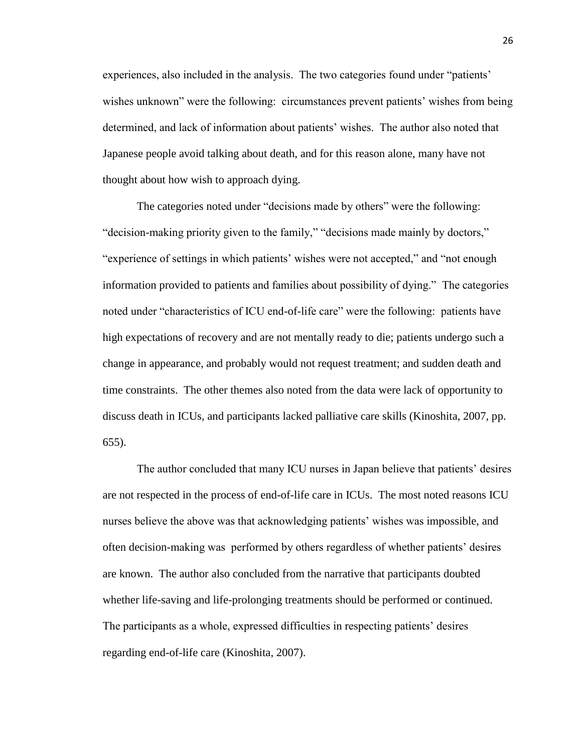experiences, also included in the analysis. The two categories found under "patients' wishes unknown" were the following: circumstances prevent patients' wishes from being determined, and lack of information about patients' wishes. The author also noted that Japanese people avoid talking about death, and for this reason alone, many have not thought about how wish to approach dying.

The categories noted under "decisions made by others" were the following: "decision-making priority given to the family," "decisions made mainly by doctors," "experience of settings in which patients' wishes were not accepted," and "not enough information provided to patients and families about possibility of dying." The categories noted under "characteristics of ICU end-of-life care" were the following: patients have high expectations of recovery and are not mentally ready to die; patients undergo such a change in appearance, and probably would not request treatment; and sudden death and time constraints. The other themes also noted from the data were lack of opportunity to discuss death in ICUs, and participants lacked palliative care skills (Kinoshita, 2007, pp. 655).

The author concluded that many ICU nurses in Japan believe that patients' desires are not respected in the process of end-of-life care in ICUs. The most noted reasons ICU nurses believe the above was that acknowledging patients' wishes was impossible, and often decision-making was performed by others regardless of whether patients' desires are known. The author also concluded from the narrative that participants doubted whether life-saving and life-prolonging treatments should be performed or continued. The participants as a whole, expressed difficulties in respecting patients' desires regarding end-of-life care (Kinoshita, 2007).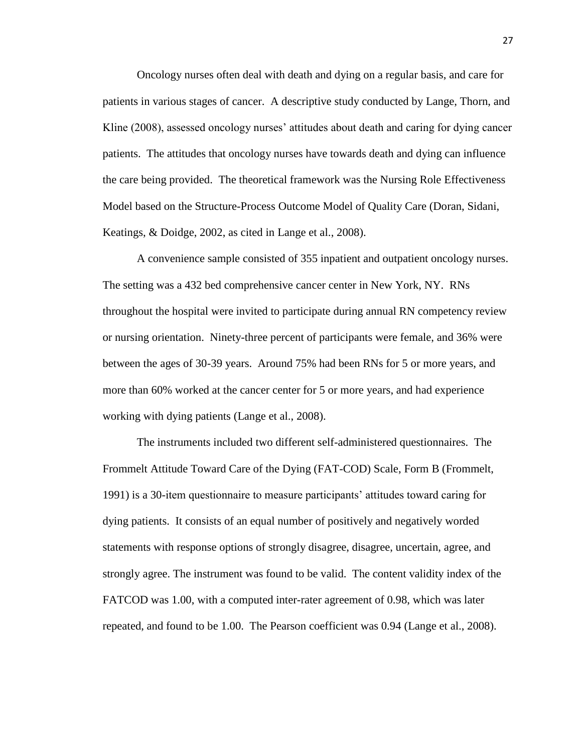Oncology nurses often deal with death and dying on a regular basis, and care for patients in various stages of cancer. A descriptive study conducted by Lange, Thorn, and Kline (2008), assessed oncology nurses' attitudes about death and caring for dying cancer patients. The attitudes that oncology nurses have towards death and dying can influence the care being provided. The theoretical framework was the Nursing Role Effectiveness Model based on the Structure-Process Outcome Model of Quality Care (Doran, Sidani, Keatings, & Doidge, 2002, as cited in Lange et al., 2008).

A convenience sample consisted of 355 inpatient and outpatient oncology nurses. The setting was a 432 bed comprehensive cancer center in New York, NY. RNs throughout the hospital were invited to participate during annual RN competency review or nursing orientation. Ninety-three percent of participants were female, and 36% were between the ages of 30-39 years. Around 75% had been RNs for 5 or more years, and more than 60% worked at the cancer center for 5 or more years, and had experience working with dying patients (Lange et al., 2008).

The instruments included two different self-administered questionnaires. The Frommelt Attitude Toward Care of the Dying (FAT-COD) Scale, Form B (Frommelt, 1991) is a 30-item questionnaire to measure participants' attitudes toward caring for dying patients. It consists of an equal number of positively and negatively worded statements with response options of strongly disagree, disagree, uncertain, agree, and strongly agree. The instrument was found to be valid. The content validity index of the FATCOD was 1.00, with a computed inter-rater agreement of 0.98, which was later repeated, and found to be 1.00. The Pearson coefficient was 0.94 (Lange et al., 2008).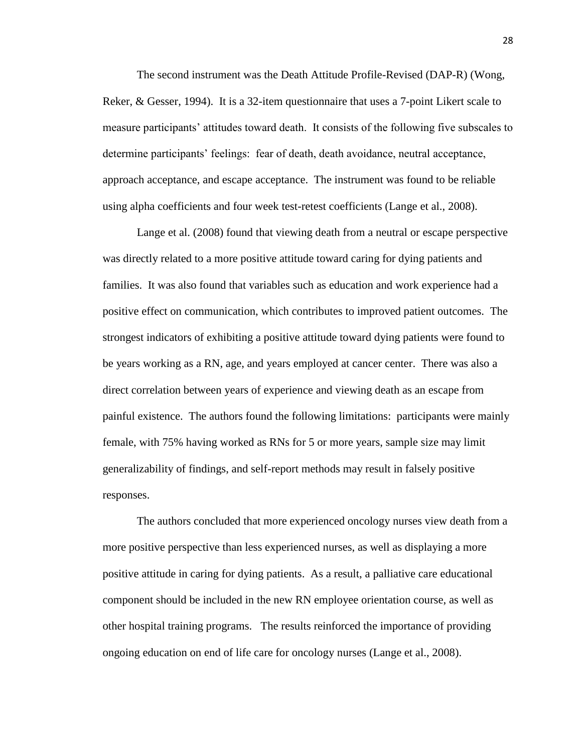The second instrument was the Death Attitude Profile-Revised (DAP-R) (Wong, Reker, & Gesser, 1994). It is a 32-item questionnaire that uses a 7-point Likert scale to measure participants' attitudes toward death. It consists of the following five subscales to determine participants' feelings: fear of death, death avoidance, neutral acceptance, approach acceptance, and escape acceptance. The instrument was found to be reliable using alpha coefficients and four week test-retest coefficients (Lange et al., 2008).

Lange et al. (2008) found that viewing death from a neutral or escape perspective was directly related to a more positive attitude toward caring for dying patients and families. It was also found that variables such as education and work experience had a positive effect on communication, which contributes to improved patient outcomes. The strongest indicators of exhibiting a positive attitude toward dying patients were found to be years working as a RN, age, and years employed at cancer center. There was also a direct correlation between years of experience and viewing death as an escape from painful existence. The authors found the following limitations: participants were mainly female, with 75% having worked as RNs for 5 or more years, sample size may limit generalizability of findings, and self-report methods may result in falsely positive responses.

The authors concluded that more experienced oncology nurses view death from a more positive perspective than less experienced nurses, as well as displaying a more positive attitude in caring for dying patients. As a result, a palliative care educational component should be included in the new RN employee orientation course, as well as other hospital training programs. The results reinforced the importance of providing ongoing education on end of life care for oncology nurses (Lange et al., 2008).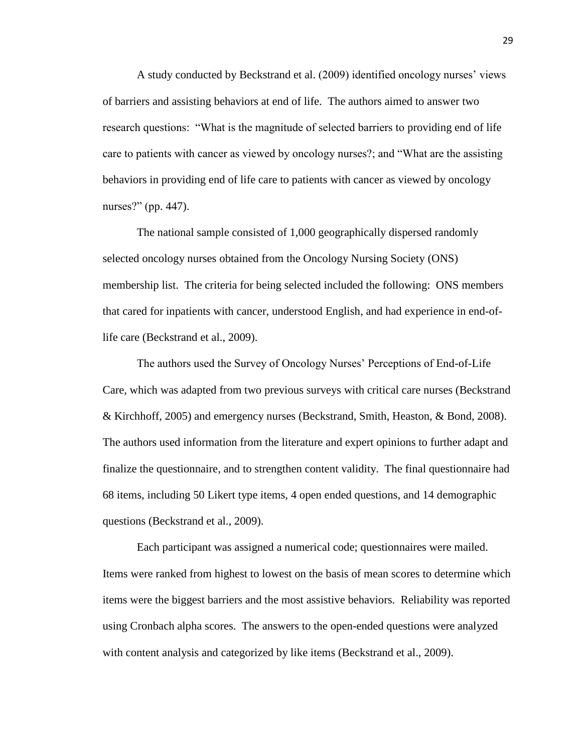A study conducted by Beckstrand et al. (2009) identified oncology nurses' views of barriers and assisting behaviors at end of life. The authors aimed to answer two research questions: "What is the magnitude of selected barriers to providing end of life care to patients with cancer as viewed by oncology nurses?; and "What are the assisting behaviors in providing end of life care to patients with cancer as viewed by oncology nurses?" (pp. 447).

The national sample consisted of 1,000 geographically dispersed randomly selected oncology nurses obtained from the Oncology Nursing Society (ONS) membership list. The criteria for being selected included the following: ONS members that cared for inpatients with cancer, understood English, and had experience in end-oflife care (Beckstrand et al., 2009).

The authors used the Survey of Oncology Nurses' Perceptions of End-of-Life Care, which was adapted from two previous surveys with critical care nurses (Beckstrand & Kirchhoff, 2005) and emergency nurses (Beckstrand, Smith, Heaston, & Bond, 2008). The authors used information from the literature and expert opinions to further adapt and finalize the questionnaire, and to strengthen content validity. The final questionnaire had 68 items, including 50 Likert type items, 4 open ended questions, and 14 demographic questions (Beckstrand et al., 2009).

Each participant was assigned a numerical code; questionnaires were mailed. Items were ranked from highest to lowest on the basis of mean scores to determine which items were the biggest barriers and the most assistive behaviors. Reliability was reported using Cronbach alpha scores. The answers to the open-ended questions were analyzed with content analysis and categorized by like items (Beckstrand et al., 2009).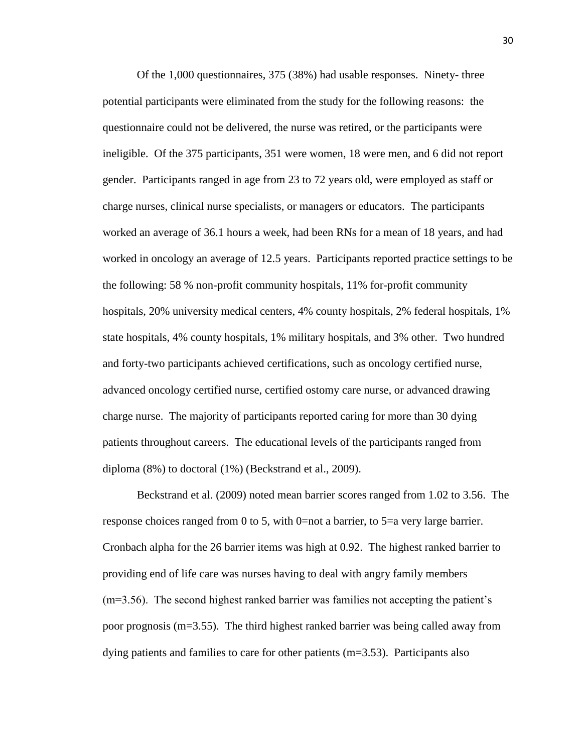Of the 1,000 questionnaires, 375 (38%) had usable responses. Ninety- three potential participants were eliminated from the study for the following reasons: the questionnaire could not be delivered, the nurse was retired, or the participants were ineligible. Of the 375 participants, 351 were women, 18 were men, and 6 did not report gender. Participants ranged in age from 23 to 72 years old, were employed as staff or charge nurses, clinical nurse specialists, or managers or educators. The participants worked an average of 36.1 hours a week, had been RNs for a mean of 18 years, and had worked in oncology an average of 12.5 years. Participants reported practice settings to be the following: 58 % non-profit community hospitals, 11% for-profit community hospitals, 20% university medical centers, 4% county hospitals, 2% federal hospitals, 1% state hospitals, 4% county hospitals, 1% military hospitals, and 3% other. Two hundred and forty-two participants achieved certifications, such as oncology certified nurse, advanced oncology certified nurse, certified ostomy care nurse, or advanced drawing charge nurse. The majority of participants reported caring for more than 30 dying patients throughout careers. The educational levels of the participants ranged from diploma (8%) to doctoral (1%) (Beckstrand et al., 2009).

Beckstrand et al. (2009) noted mean barrier scores ranged from 1.02 to 3.56. The response choices ranged from 0 to 5, with 0=not a barrier, to 5=a very large barrier. Cronbach alpha for the 26 barrier items was high at 0.92. The highest ranked barrier to providing end of life care was nurses having to deal with angry family members (m=3.56). The second highest ranked barrier was families not accepting the patient's poor prognosis (m=3.55). The third highest ranked barrier was being called away from dying patients and families to care for other patients (m=3.53). Participants also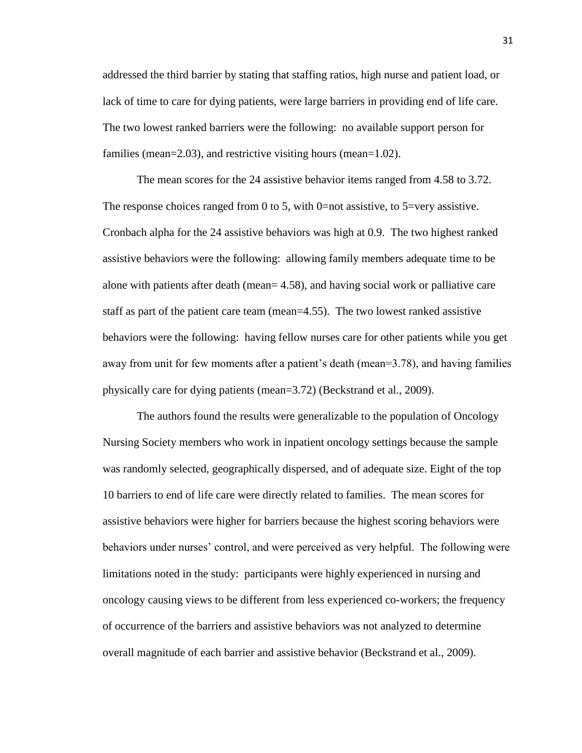addressed the third barrier by stating that staffing ratios, high nurse and patient load, or lack of time to care for dying patients, were large barriers in providing end of life care. The two lowest ranked barriers were the following: no available support person for families (mean=2.03), and restrictive visiting hours (mean=1.02).

The mean scores for the 24 assistive behavior items ranged from 4.58 to 3.72. The response choices ranged from 0 to 5, with 0=not assistive, to 5=very assistive. Cronbach alpha for the 24 assistive behaviors was high at 0.9. The two highest ranked assistive behaviors were the following: allowing family members adequate time to be alone with patients after death (mean= 4.58), and having social work or palliative care staff as part of the patient care team (mean=4.55). The two lowest ranked assistive behaviors were the following: having fellow nurses care for other patients while you get away from unit for few moments after a patient's death (mean=3.78), and having families physically care for dying patients (mean=3.72) (Beckstrand et al., 2009).

The authors found the results were generalizable to the population of Oncology Nursing Society members who work in inpatient oncology settings because the sample was randomly selected, geographically dispersed, and of adequate size. Eight of the top 10 barriers to end of life care were directly related to families. The mean scores for assistive behaviors were higher for barriers because the highest scoring behaviors were behaviors under nurses' control, and were perceived as very helpful. The following were limitations noted in the study: participants were highly experienced in nursing and oncology causing views to be different from less experienced co-workers; the frequency of occurrence of the barriers and assistive behaviors was not analyzed to determine overall magnitude of each barrier and assistive behavior (Beckstrand et al., 2009).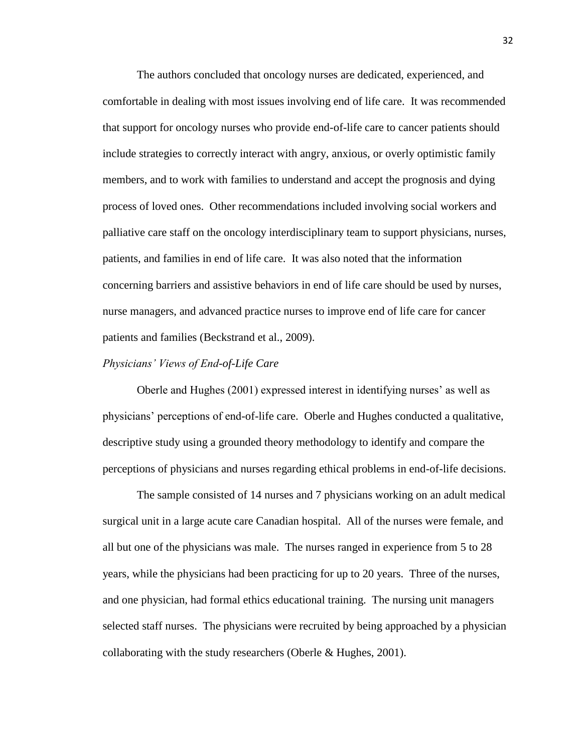The authors concluded that oncology nurses are dedicated, experienced, and comfortable in dealing with most issues involving end of life care. It was recommended that support for oncology nurses who provide end-of-life care to cancer patients should include strategies to correctly interact with angry, anxious, or overly optimistic family members, and to work with families to understand and accept the prognosis and dying process of loved ones. Other recommendations included involving social workers and palliative care staff on the oncology interdisciplinary team to support physicians, nurses, patients, and families in end of life care. It was also noted that the information concerning barriers and assistive behaviors in end of life care should be used by nurses, nurse managers, and advanced practice nurses to improve end of life care for cancer patients and families (Beckstrand et al., 2009).

#### *Physicians' Views of End-of-Life Care*

Oberle and Hughes (2001) expressed interest in identifying nurses' as well as physicians' perceptions of end-of-life care. Oberle and Hughes conducted a qualitative, descriptive study using a grounded theory methodology to identify and compare the perceptions of physicians and nurses regarding ethical problems in end-of-life decisions.

The sample consisted of 14 nurses and 7 physicians working on an adult medical surgical unit in a large acute care Canadian hospital. All of the nurses were female, and all but one of the physicians was male. The nurses ranged in experience from 5 to 28 years, while the physicians had been practicing for up to 20 years. Three of the nurses, and one physician, had formal ethics educational training. The nursing unit managers selected staff nurses. The physicians were recruited by being approached by a physician collaborating with the study researchers (Oberle & Hughes, 2001).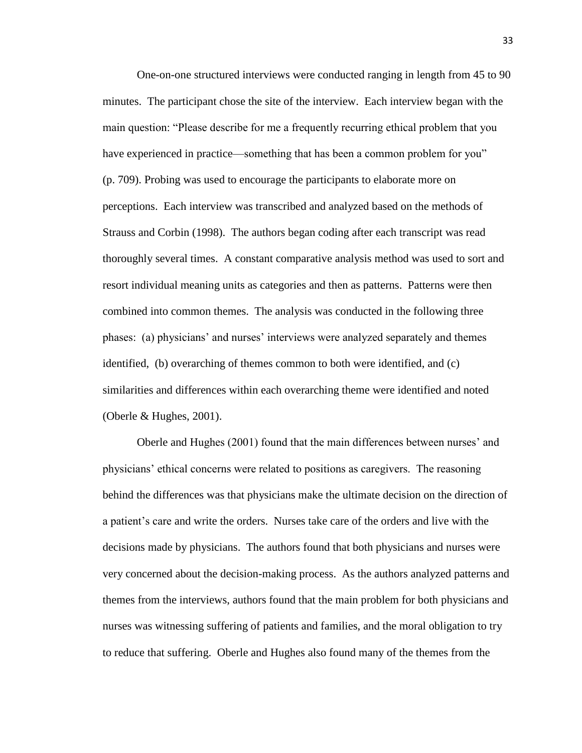One-on-one structured interviews were conducted ranging in length from 45 to 90 minutes. The participant chose the site of the interview. Each interview began with the main question: "Please describe for me a frequently recurring ethical problem that you have experienced in practice—something that has been a common problem for you" (p. 709). Probing was used to encourage the participants to elaborate more on perceptions. Each interview was transcribed and analyzed based on the methods of Strauss and Corbin (1998). The authors began coding after each transcript was read thoroughly several times. A constant comparative analysis method was used to sort and resort individual meaning units as categories and then as patterns. Patterns were then combined into common themes. The analysis was conducted in the following three phases: (a) physicians' and nurses' interviews were analyzed separately and themes identified, (b) overarching of themes common to both were identified, and (c) similarities and differences within each overarching theme were identified and noted (Oberle & Hughes, 2001).

Oberle and Hughes (2001) found that the main differences between nurses' and physicians' ethical concerns were related to positions as caregivers. The reasoning behind the differences was that physicians make the ultimate decision on the direction of a patient's care and write the orders. Nurses take care of the orders and live with the decisions made by physicians. The authors found that both physicians and nurses were very concerned about the decision-making process. As the authors analyzed patterns and themes from the interviews, authors found that the main problem for both physicians and nurses was witnessing suffering of patients and families, and the moral obligation to try to reduce that suffering. Oberle and Hughes also found many of the themes from the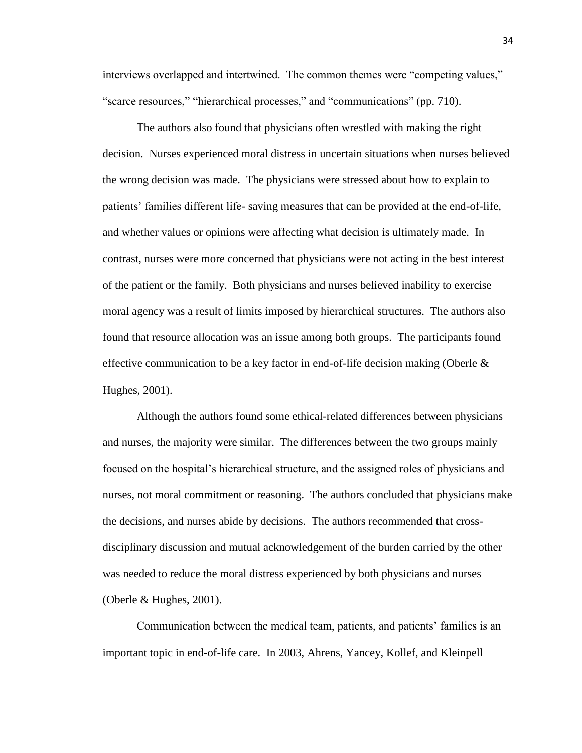interviews overlapped and intertwined. The common themes were "competing values," "scarce resources," "hierarchical processes," and "communications" (pp. 710).

The authors also found that physicians often wrestled with making the right decision. Nurses experienced moral distress in uncertain situations when nurses believed the wrong decision was made. The physicians were stressed about how to explain to patients' families different life- saving measures that can be provided at the end-of-life, and whether values or opinions were affecting what decision is ultimately made. In contrast, nurses were more concerned that physicians were not acting in the best interest of the patient or the family. Both physicians and nurses believed inability to exercise moral agency was a result of limits imposed by hierarchical structures. The authors also found that resource allocation was an issue among both groups. The participants found effective communication to be a key factor in end-of-life decision making (Oberle  $\&$ Hughes, 2001).

Although the authors found some ethical-related differences between physicians and nurses, the majority were similar. The differences between the two groups mainly focused on the hospital's hierarchical structure, and the assigned roles of physicians and nurses, not moral commitment or reasoning. The authors concluded that physicians make the decisions, and nurses abide by decisions. The authors recommended that crossdisciplinary discussion and mutual acknowledgement of the burden carried by the other was needed to reduce the moral distress experienced by both physicians and nurses (Oberle & Hughes, 2001).

Communication between the medical team, patients, and patients' families is an important topic in end-of-life care. In 2003, Ahrens, Yancey, Kollef, and Kleinpell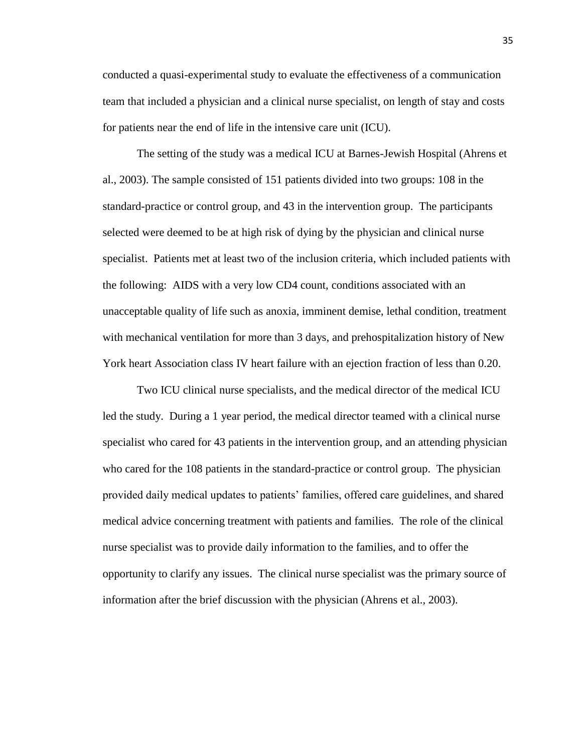conducted a quasi-experimental study to evaluate the effectiveness of a communication team that included a physician and a clinical nurse specialist, on length of stay and costs for patients near the end of life in the intensive care unit (ICU).

The setting of the study was a medical ICU at Barnes-Jewish Hospital (Ahrens et al., 2003). The sample consisted of 151 patients divided into two groups: 108 in the standard-practice or control group, and 43 in the intervention group. The participants selected were deemed to be at high risk of dying by the physician and clinical nurse specialist. Patients met at least two of the inclusion criteria, which included patients with the following: AIDS with a very low CD4 count, conditions associated with an unacceptable quality of life such as anoxia, imminent demise, lethal condition, treatment with mechanical ventilation for more than 3 days, and prehospitalization history of New York heart Association class IV heart failure with an ejection fraction of less than 0.20.

Two ICU clinical nurse specialists, and the medical director of the medical ICU led the study. During a 1 year period, the medical director teamed with a clinical nurse specialist who cared for 43 patients in the intervention group, and an attending physician who cared for the 108 patients in the standard-practice or control group. The physician provided daily medical updates to patients' families, offered care guidelines, and shared medical advice concerning treatment with patients and families. The role of the clinical nurse specialist was to provide daily information to the families, and to offer the opportunity to clarify any issues. The clinical nurse specialist was the primary source of information after the brief discussion with the physician (Ahrens et al., 2003).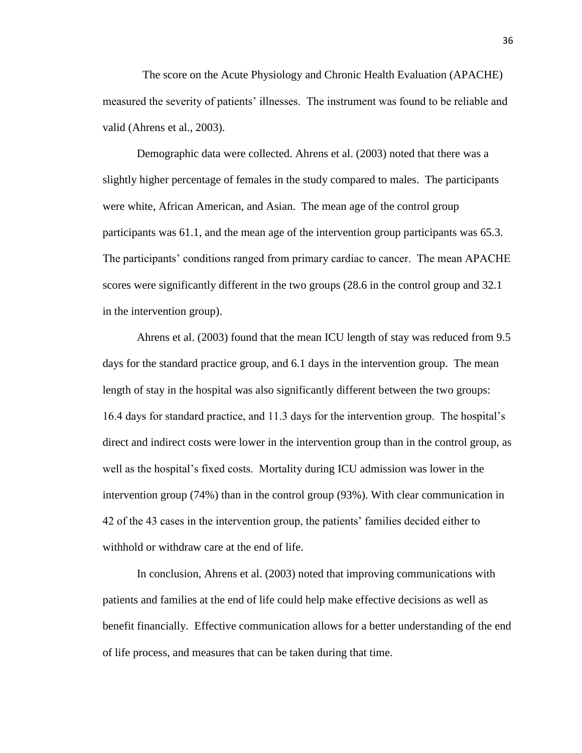The score on the Acute Physiology and Chronic Health Evaluation (APACHE) measured the severity of patients' illnesses. The instrument was found to be reliable and valid (Ahrens et al., 2003).

Demographic data were collected. Ahrens et al. (2003) noted that there was a slightly higher percentage of females in the study compared to males. The participants were white, African American, and Asian. The mean age of the control group participants was 61.1, and the mean age of the intervention group participants was 65.3. The participants' conditions ranged from primary cardiac to cancer. The mean APACHE scores were significantly different in the two groups (28.6 in the control group and 32.1 in the intervention group).

Ahrens et al. (2003) found that the mean ICU length of stay was reduced from 9.5 days for the standard practice group, and 6.1 days in the intervention group. The mean length of stay in the hospital was also significantly different between the two groups: 16.4 days for standard practice, and 11.3 days for the intervention group. The hospital's direct and indirect costs were lower in the intervention group than in the control group, as well as the hospital's fixed costs. Mortality during ICU admission was lower in the intervention group (74%) than in the control group (93%). With clear communication in 42 of the 43 cases in the intervention group, the patients' families decided either to withhold or withdraw care at the end of life.

In conclusion, Ahrens et al. (2003) noted that improving communications with patients and families at the end of life could help make effective decisions as well as benefit financially. Effective communication allows for a better understanding of the end of life process, and measures that can be taken during that time.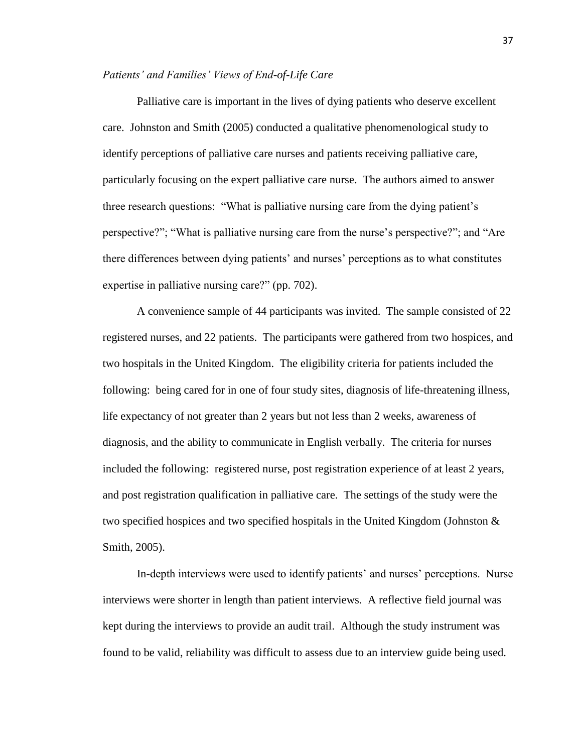# *Patients' and Families' Views of End-of-Life Care*

Palliative care is important in the lives of dying patients who deserve excellent care. Johnston and Smith (2005) conducted a qualitative phenomenological study to identify perceptions of palliative care nurses and patients receiving palliative care, particularly focusing on the expert palliative care nurse. The authors aimed to answer three research questions: "What is palliative nursing care from the dying patient's perspective?"; "What is palliative nursing care from the nurse's perspective?"; and "Are there differences between dying patients' and nurses' perceptions as to what constitutes expertise in palliative nursing care?" (pp. 702).

A convenience sample of 44 participants was invited. The sample consisted of 22 registered nurses, and 22 patients. The participants were gathered from two hospices, and two hospitals in the United Kingdom. The eligibility criteria for patients included the following: being cared for in one of four study sites, diagnosis of life-threatening illness, life expectancy of not greater than 2 years but not less than 2 weeks, awareness of diagnosis, and the ability to communicate in English verbally. The criteria for nurses included the following: registered nurse, post registration experience of at least 2 years, and post registration qualification in palliative care. The settings of the study were the two specified hospices and two specified hospitals in the United Kingdom (Johnston  $\&$ Smith, 2005).

In-depth interviews were used to identify patients' and nurses' perceptions. Nurse interviews were shorter in length than patient interviews. A reflective field journal was kept during the interviews to provide an audit trail. Although the study instrument was found to be valid, reliability was difficult to assess due to an interview guide being used.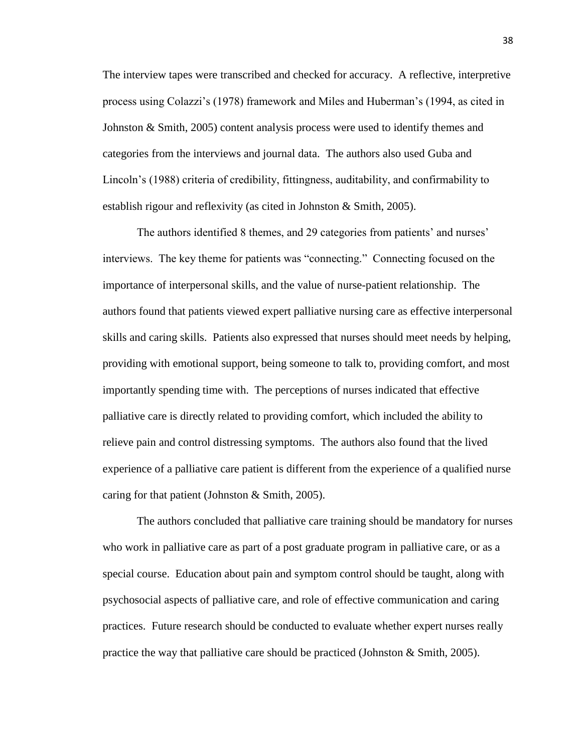The interview tapes were transcribed and checked for accuracy. A reflective, interpretive process using Colazzi's (1978) framework and Miles and Huberman's (1994, as cited in Johnston & Smith, 2005) content analysis process were used to identify themes and categories from the interviews and journal data. The authors also used Guba and Lincoln's (1988) criteria of credibility, fittingness, auditability, and confirmability to establish rigour and reflexivity (as cited in Johnston & Smith, 2005).

The authors identified 8 themes, and 29 categories from patients' and nurses' interviews. The key theme for patients was "connecting." Connecting focused on the importance of interpersonal skills, and the value of nurse-patient relationship. The authors found that patients viewed expert palliative nursing care as effective interpersonal skills and caring skills. Patients also expressed that nurses should meet needs by helping, providing with emotional support, being someone to talk to, providing comfort, and most importantly spending time with. The perceptions of nurses indicated that effective palliative care is directly related to providing comfort, which included the ability to relieve pain and control distressing symptoms. The authors also found that the lived experience of a palliative care patient is different from the experience of a qualified nurse caring for that patient (Johnston & Smith, 2005).

The authors concluded that palliative care training should be mandatory for nurses who work in palliative care as part of a post graduate program in palliative care, or as a special course. Education about pain and symptom control should be taught, along with psychosocial aspects of palliative care, and role of effective communication and caring practices. Future research should be conducted to evaluate whether expert nurses really practice the way that palliative care should be practiced (Johnston  $\&$  Smith, 2005).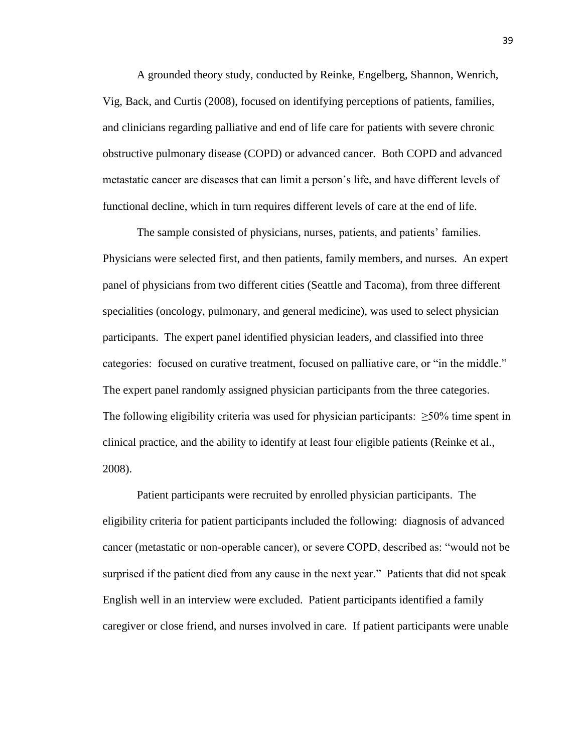A grounded theory study, conducted by Reinke, Engelberg, Shannon, Wenrich, Vig, Back, and Curtis (2008), focused on identifying perceptions of patients, families, and clinicians regarding palliative and end of life care for patients with severe chronic obstructive pulmonary disease (COPD) or advanced cancer. Both COPD and advanced metastatic cancer are diseases that can limit a person's life, and have different levels of functional decline, which in turn requires different levels of care at the end of life.

The sample consisted of physicians, nurses, patients, and patients' families. Physicians were selected first, and then patients, family members, and nurses. An expert panel of physicians from two different cities (Seattle and Tacoma), from three different specialities (oncology, pulmonary, and general medicine), was used to select physician participants. The expert panel identified physician leaders, and classified into three categories: focused on curative treatment, focused on palliative care, or "in the middle." The expert panel randomly assigned physician participants from the three categories. The following eligibility criteria was used for physician participants:  $\geq 50\%$  time spent in clinical practice, and the ability to identify at least four eligible patients (Reinke et al., 2008).

Patient participants were recruited by enrolled physician participants. The eligibility criteria for patient participants included the following: diagnosis of advanced cancer (metastatic or non-operable cancer), or severe COPD, described as: "would not be surprised if the patient died from any cause in the next year." Patients that did not speak English well in an interview were excluded. Patient participants identified a family caregiver or close friend, and nurses involved in care. If patient participants were unable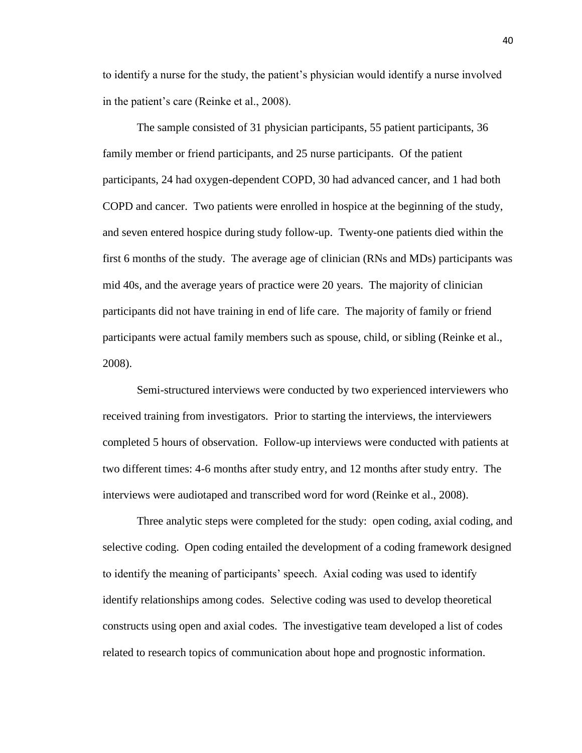to identify a nurse for the study, the patient's physician would identify a nurse involved in the patient's care (Reinke et al., 2008).

The sample consisted of 31 physician participants, 55 patient participants, 36 family member or friend participants, and 25 nurse participants. Of the patient participants, 24 had oxygen-dependent COPD, 30 had advanced cancer, and 1 had both COPD and cancer. Two patients were enrolled in hospice at the beginning of the study, and seven entered hospice during study follow-up. Twenty-one patients died within the first 6 months of the study. The average age of clinician (RNs and MDs) participants was mid 40s, and the average years of practice were 20 years. The majority of clinician participants did not have training in end of life care. The majority of family or friend participants were actual family members such as spouse, child, or sibling (Reinke et al., 2008).

Semi-structured interviews were conducted by two experienced interviewers who received training from investigators. Prior to starting the interviews, the interviewers completed 5 hours of observation. Follow-up interviews were conducted with patients at two different times: 4-6 months after study entry, and 12 months after study entry. The interviews were audiotaped and transcribed word for word (Reinke et al., 2008).

Three analytic steps were completed for the study: open coding, axial coding, and selective coding. Open coding entailed the development of a coding framework designed to identify the meaning of participants' speech. Axial coding was used to identify identify relationships among codes. Selective coding was used to develop theoretical constructs using open and axial codes. The investigative team developed a list of codes related to research topics of communication about hope and prognostic information.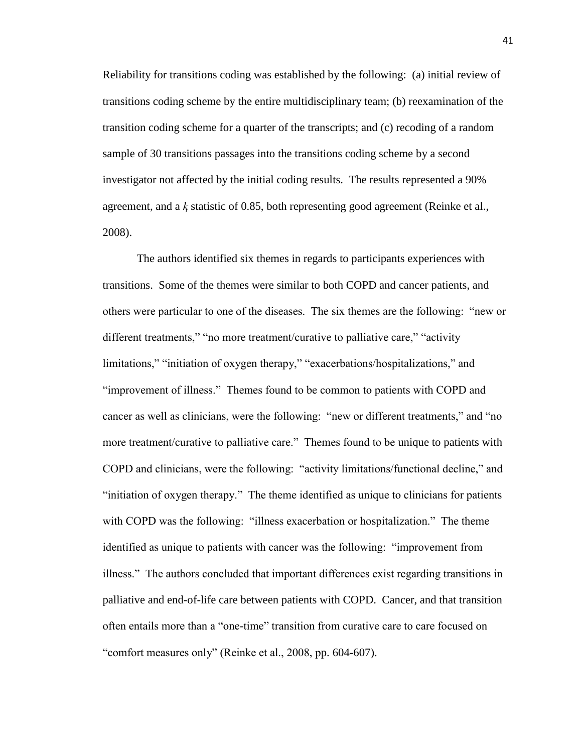Reliability for transitions coding was established by the following: (a) initial review of transitions coding scheme by the entire multidisciplinary team; (b) reexamination of the transition coding scheme for a quarter of the transcripts; and (c) recoding of a random sample of 30 transitions passages into the transitions coding scheme by a second investigator not affected by the initial coding results. The results represented a 90% agreement, and a  *statistic of 0.85, both representing good agreement (Reinke et al.,* 2008).

The authors identified six themes in regards to participants experiences with transitions. Some of the themes were similar to both COPD and cancer patients, and others were particular to one of the diseases. The six themes are the following: "new or different treatments," "no more treatment/curative to palliative care," "activity limitations," "initiation of oxygen therapy," "exacerbations/hospitalizations," and "improvement of illness." Themes found to be common to patients with COPD and cancer as well as clinicians, were the following: "new or different treatments," and "no more treatment/curative to palliative care." Themes found to be unique to patients with COPD and clinicians, were the following: "activity limitations/functional decline," and ―initiation of oxygen therapy.‖ The theme identified as unique to clinicians for patients with COPD was the following: "illness exacerbation or hospitalization." The theme identified as unique to patients with cancer was the following: "improvement from illness.‖ The authors concluded that important differences exist regarding transitions in palliative and end-of-life care between patients with COPD. Cancer, and that transition often entails more than a "one-time" transition from curative care to care focused on "comfort measures only" (Reinke et al., 2008, pp. 604-607).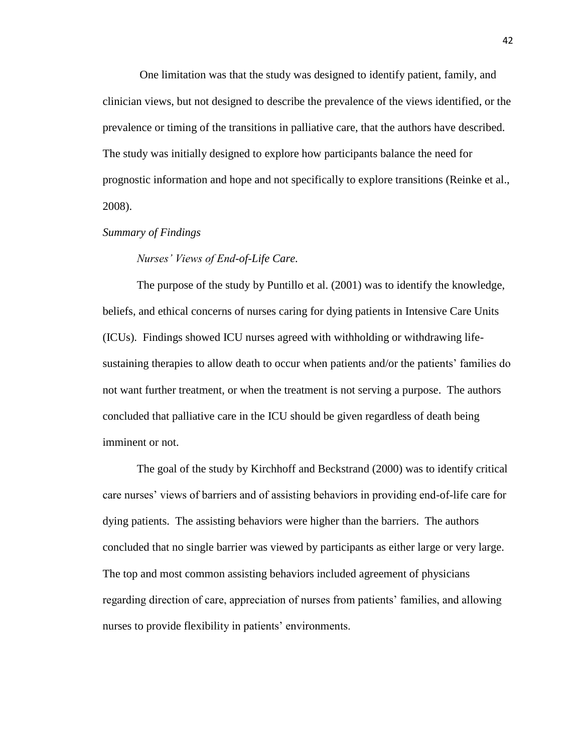One limitation was that the study was designed to identify patient, family, and clinician views, but not designed to describe the prevalence of the views identified, or the prevalence or timing of the transitions in palliative care, that the authors have described. The study was initially designed to explore how participants balance the need for prognostic information and hope and not specifically to explore transitions (Reinke et al., 2008).

# *Summary of Findings*

# *Nurses' Views of End-of-Life Care.*

The purpose of the study by Puntillo et al. (2001) was to identify the knowledge, beliefs, and ethical concerns of nurses caring for dying patients in Intensive Care Units (ICUs). Findings showed ICU nurses agreed with withholding or withdrawing lifesustaining therapies to allow death to occur when patients and/or the patients' families do not want further treatment, or when the treatment is not serving a purpose. The authors concluded that palliative care in the ICU should be given regardless of death being imminent or not.

The goal of the study by Kirchhoff and Beckstrand (2000) was to identify critical care nurses' views of barriers and of assisting behaviors in providing end-of-life care for dying patients. The assisting behaviors were higher than the barriers. The authors concluded that no single barrier was viewed by participants as either large or very large. The top and most common assisting behaviors included agreement of physicians regarding direction of care, appreciation of nurses from patients' families, and allowing nurses to provide flexibility in patients' environments.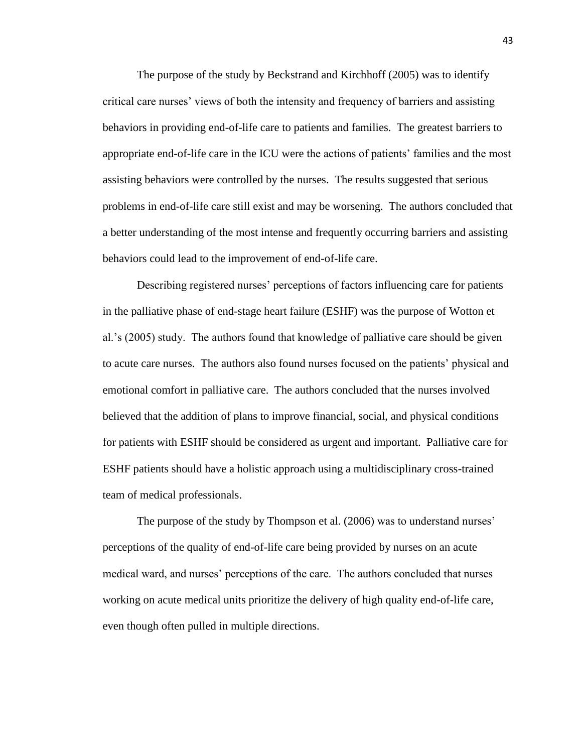The purpose of the study by Beckstrand and Kirchhoff (2005) was to identify critical care nurses' views of both the intensity and frequency of barriers and assisting behaviors in providing end-of-life care to patients and families. The greatest barriers to appropriate end-of-life care in the ICU were the actions of patients' families and the most assisting behaviors were controlled by the nurses. The results suggested that serious problems in end-of-life care still exist and may be worsening. The authors concluded that a better understanding of the most intense and frequently occurring barriers and assisting behaviors could lead to the improvement of end-of-life care.

Describing registered nurses' perceptions of factors influencing care for patients in the palliative phase of end-stage heart failure (ESHF) was the purpose of Wotton et al.'s (2005) study. The authors found that knowledge of palliative care should be given to acute care nurses. The authors also found nurses focused on the patients' physical and emotional comfort in palliative care. The authors concluded that the nurses involved believed that the addition of plans to improve financial, social, and physical conditions for patients with ESHF should be considered as urgent and important. Palliative care for ESHF patients should have a holistic approach using a multidisciplinary cross-trained team of medical professionals.

The purpose of the study by Thompson et al. (2006) was to understand nurses' perceptions of the quality of end-of-life care being provided by nurses on an acute medical ward, and nurses' perceptions of the care. The authors concluded that nurses working on acute medical units prioritize the delivery of high quality end-of-life care, even though often pulled in multiple directions.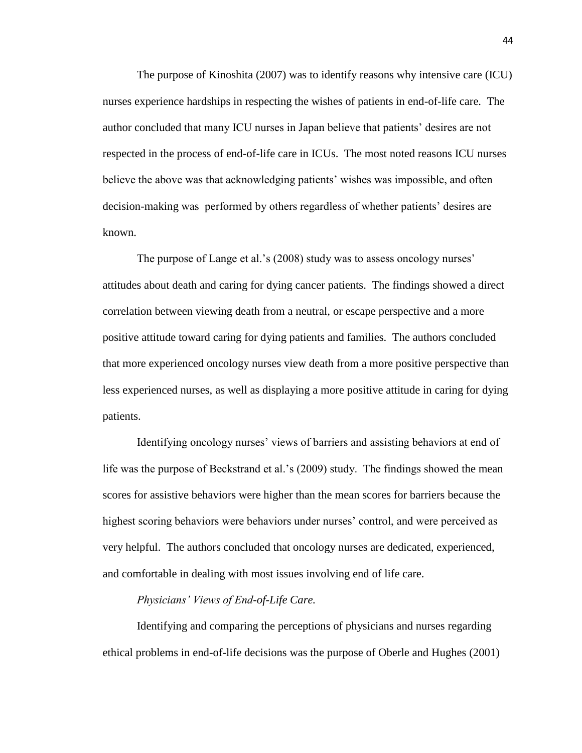The purpose of Kinoshita (2007) was to identify reasons why intensive care (ICU) nurses experience hardships in respecting the wishes of patients in end-of-life care. The author concluded that many ICU nurses in Japan believe that patients' desires are not respected in the process of end-of-life care in ICUs. The most noted reasons ICU nurses believe the above was that acknowledging patients' wishes was impossible, and often decision-making was performed by others regardless of whether patients' desires are known.

The purpose of Lange et al.'s (2008) study was to assess oncology nurses' attitudes about death and caring for dying cancer patients. The findings showed a direct correlation between viewing death from a neutral, or escape perspective and a more positive attitude toward caring for dying patients and families. The authors concluded that more experienced oncology nurses view death from a more positive perspective than less experienced nurses, as well as displaying a more positive attitude in caring for dying patients.

Identifying oncology nurses' views of barriers and assisting behaviors at end of life was the purpose of Beckstrand et al.'s (2009) study. The findings showed the mean scores for assistive behaviors were higher than the mean scores for barriers because the highest scoring behaviors were behaviors under nurses' control, and were perceived as very helpful. The authors concluded that oncology nurses are dedicated, experienced, and comfortable in dealing with most issues involving end of life care.

#### *Physicians' Views of End-of-Life Care.*

Identifying and comparing the perceptions of physicians and nurses regarding ethical problems in end-of-life decisions was the purpose of Oberle and Hughes (2001)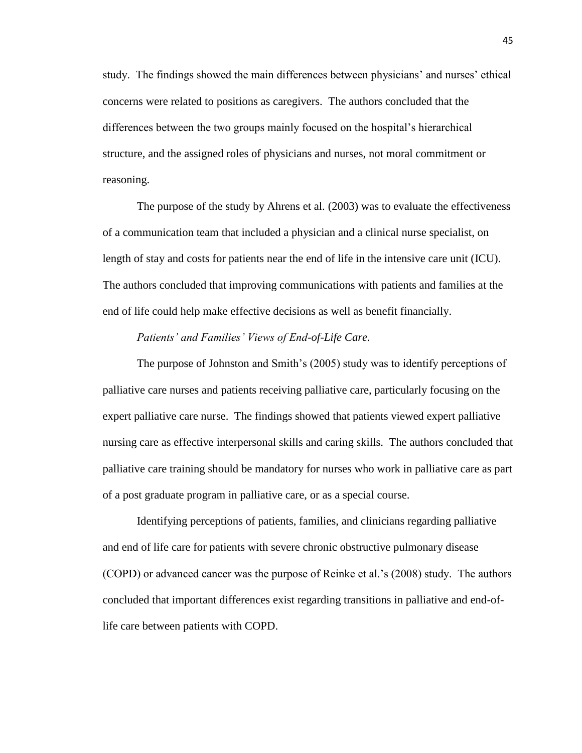study. The findings showed the main differences between physicians' and nurses' ethical concerns were related to positions as caregivers. The authors concluded that the differences between the two groups mainly focused on the hospital's hierarchical structure, and the assigned roles of physicians and nurses, not moral commitment or reasoning.

The purpose of the study by Ahrens et al. (2003) was to evaluate the effectiveness of a communication team that included a physician and a clinical nurse specialist, on length of stay and costs for patients near the end of life in the intensive care unit (ICU). The authors concluded that improving communications with patients and families at the end of life could help make effective decisions as well as benefit financially.

#### *Patients' and Families' Views of End-of-Life Care.*

The purpose of Johnston and Smith's (2005) study was to identify perceptions of palliative care nurses and patients receiving palliative care, particularly focusing on the expert palliative care nurse. The findings showed that patients viewed expert palliative nursing care as effective interpersonal skills and caring skills. The authors concluded that palliative care training should be mandatory for nurses who work in palliative care as part of a post graduate program in palliative care, or as a special course.

Identifying perceptions of patients, families, and clinicians regarding palliative and end of life care for patients with severe chronic obstructive pulmonary disease (COPD) or advanced cancer was the purpose of Reinke et al.'s (2008) study. The authors concluded that important differences exist regarding transitions in palliative and end-oflife care between patients with COPD.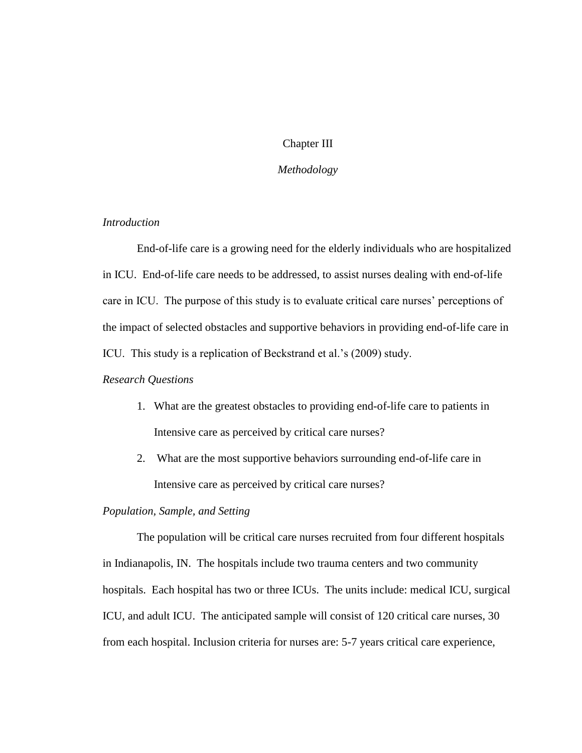# Chapter III

# *Methodology*

# *Introduction*

End-of-life care is a growing need for the elderly individuals who are hospitalized in ICU. End-of-life care needs to be addressed, to assist nurses dealing with end-of-life care in ICU. The purpose of this study is to evaluate critical care nurses' perceptions of the impact of selected obstacles and supportive behaviors in providing end-of-life care in ICU. This study is a replication of Beckstrand et al.'s (2009) study.

# *Research Questions*

- 1. What are the greatest obstacles to providing end-of-life care to patients in Intensive care as perceived by critical care nurses?
- 2. What are the most supportive behaviors surrounding end-of-life care in Intensive care as perceived by critical care nurses?

# *Population, Sample, and Setting*

The population will be critical care nurses recruited from four different hospitals in Indianapolis, IN. The hospitals include two trauma centers and two community hospitals. Each hospital has two or three ICUs. The units include: medical ICU, surgical ICU, and adult ICU. The anticipated sample will consist of 120 critical care nurses, 30 from each hospital. Inclusion criteria for nurses are: 5-7 years critical care experience,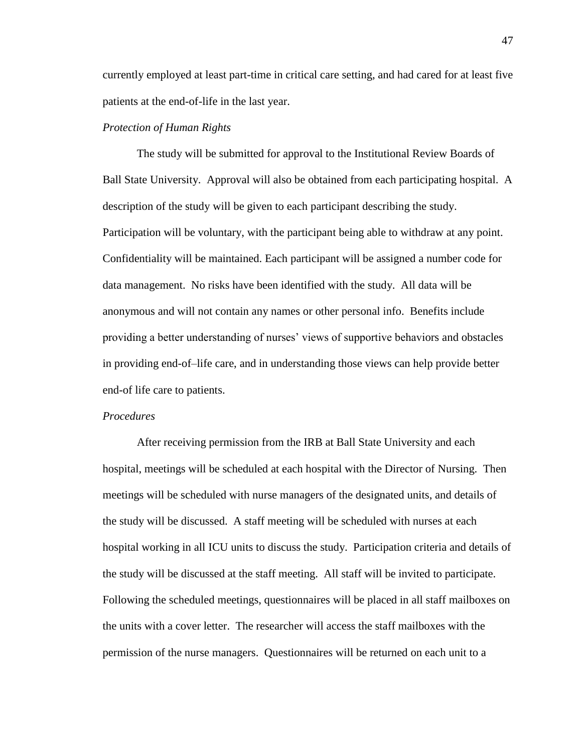currently employed at least part-time in critical care setting, and had cared for at least five patients at the end-of-life in the last year.

# *Protection of Human Rights*

The study will be submitted for approval to the Institutional Review Boards of Ball State University. Approval will also be obtained from each participating hospital. A description of the study will be given to each participant describing the study. Participation will be voluntary, with the participant being able to withdraw at any point. Confidentiality will be maintained. Each participant will be assigned a number code for data management. No risks have been identified with the study. All data will be anonymous and will not contain any names or other personal info. Benefits include providing a better understanding of nurses' views of supportive behaviors and obstacles in providing end-of–life care, and in understanding those views can help provide better end-of life care to patients.

#### *Procedures*

After receiving permission from the IRB at Ball State University and each hospital, meetings will be scheduled at each hospital with the Director of Nursing. Then meetings will be scheduled with nurse managers of the designated units, and details of the study will be discussed. A staff meeting will be scheduled with nurses at each hospital working in all ICU units to discuss the study. Participation criteria and details of the study will be discussed at the staff meeting. All staff will be invited to participate. Following the scheduled meetings, questionnaires will be placed in all staff mailboxes on the units with a cover letter. The researcher will access the staff mailboxes with the permission of the nurse managers. Questionnaires will be returned on each unit to a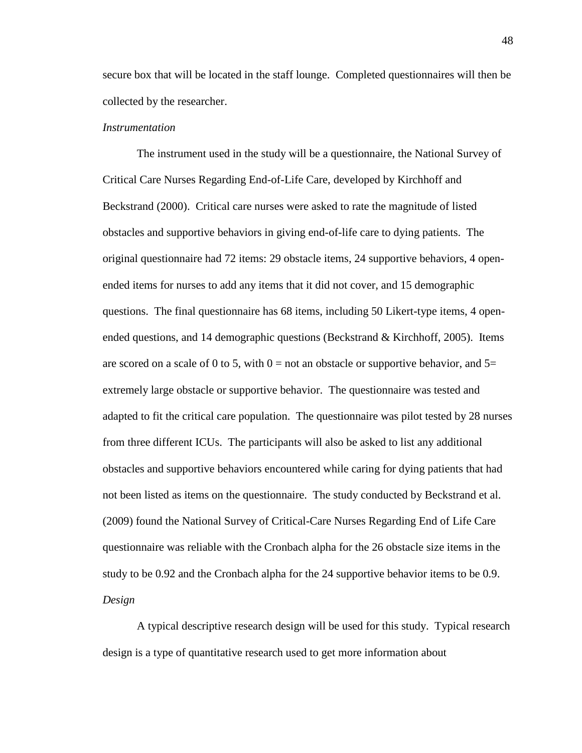secure box that will be located in the staff lounge. Completed questionnaires will then be collected by the researcher.

#### *Instrumentation*

The instrument used in the study will be a questionnaire, the National Survey of Critical Care Nurses Regarding End-of-Life Care, developed by Kirchhoff and Beckstrand (2000). Critical care nurses were asked to rate the magnitude of listed obstacles and supportive behaviors in giving end-of-life care to dying patients. The original questionnaire had 72 items: 29 obstacle items, 24 supportive behaviors, 4 openended items for nurses to add any items that it did not cover, and 15 demographic questions. The final questionnaire has 68 items, including 50 Likert-type items, 4 openended questions, and 14 demographic questions (Beckstrand  $\&$  Kirchhoff, 2005). Items are scored on a scale of 0 to 5, with  $0 =$  not an obstacle or supportive behavior, and  $5=$ extremely large obstacle or supportive behavior. The questionnaire was tested and adapted to fit the critical care population. The questionnaire was pilot tested by 28 nurses from three different ICUs. The participants will also be asked to list any additional obstacles and supportive behaviors encountered while caring for dying patients that had not been listed as items on the questionnaire. The study conducted by Beckstrand et al. (2009) found the National Survey of Critical-Care Nurses Regarding End of Life Care questionnaire was reliable with the Cronbach alpha for the 26 obstacle size items in the study to be 0.92 and the Cronbach alpha for the 24 supportive behavior items to be 0.9. *Design*

A typical descriptive research design will be used for this study. Typical research design is a type of quantitative research used to get more information about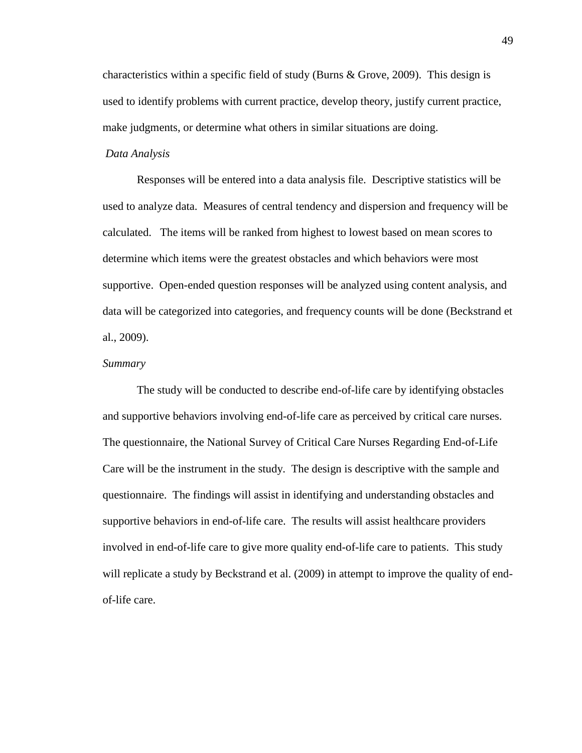characteristics within a specific field of study (Burns & Grove, 2009). This design is used to identify problems with current practice, develop theory, justify current practice, make judgments, or determine what others in similar situations are doing.

# *Data Analysis*

Responses will be entered into a data analysis file. Descriptive statistics will be used to analyze data. Measures of central tendency and dispersion and frequency will be calculated. The items will be ranked from highest to lowest based on mean scores to determine which items were the greatest obstacles and which behaviors were most supportive. Open-ended question responses will be analyzed using content analysis, and data will be categorized into categories, and frequency counts will be done (Beckstrand et al., 2009).

#### *Summary*

The study will be conducted to describe end-of-life care by identifying obstacles and supportive behaviors involving end-of-life care as perceived by critical care nurses. The questionnaire, the National Survey of Critical Care Nurses Regarding End-of-Life Care will be the instrument in the study. The design is descriptive with the sample and questionnaire. The findings will assist in identifying and understanding obstacles and supportive behaviors in end-of-life care. The results will assist healthcare providers involved in end-of-life care to give more quality end-of-life care to patients. This study will replicate a study by Beckstrand et al. (2009) in attempt to improve the quality of endof-life care.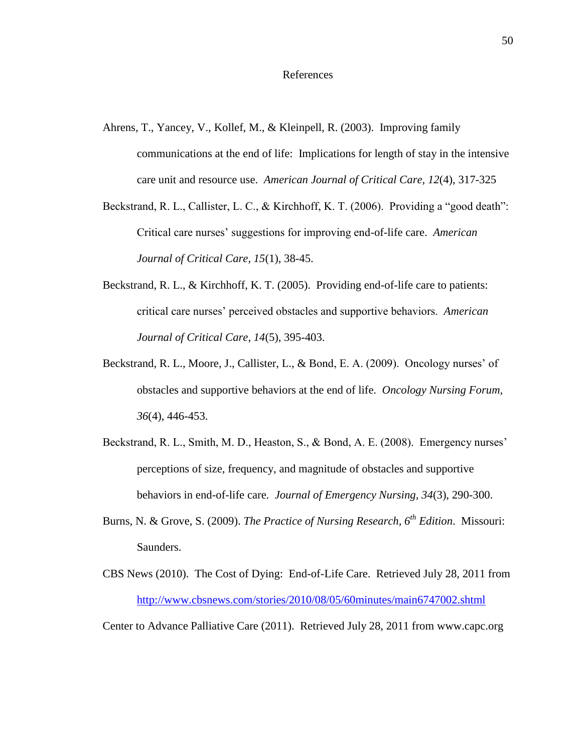- Ahrens, T., Yancey, V., Kollef, M., & Kleinpell, R. (2003). Improving family communications at the end of life: Implications for length of stay in the intensive care unit and resource use. *American Journal of Critical Care, 12*(4), 317-325
- Beckstrand, R. L., Callister, L. C., & Kirchhoff, K. T. (2006). Providing a "good death": Critical care nurses' suggestions for improving end-of-life care. *American Journal of Critical Care, 15*(1), 38-45.
- Beckstrand, R. L., & Kirchhoff, K. T. (2005). Providing end-of-life care to patients: critical care nurses' perceived obstacles and supportive behaviors. *American Journal of Critical Care, 14*(5), 395-403.
- Beckstrand, R. L., Moore, J., Callister, L., & Bond, E. A. (2009). Oncology nurses' of obstacles and supportive behaviors at the end of life. *Oncology Nursing Forum, 36*(4), 446-453.
- Beckstrand, R. L., Smith, M. D., Heaston, S., & Bond, A. E. (2008). Emergency nurses' perceptions of size, frequency, and magnitude of obstacles and supportive behaviors in end-of-life care. *Journal of Emergency Nursing, 34*(3), 290-300.
- Burns, N. & Grove, S. (2009). *The Practice of Nursing Research, 6th Edition*. Missouri: Saunders.
- CBS News (2010). The Cost of Dying: End-of-Life Care. Retrieved July 28, 2011 from <http://www.cbsnews.com/stories/2010/08/05/60minutes/main6747002.shtml>

Center to Advance Palliative Care (2011). Retrieved July 28, 2011 from www.capc.org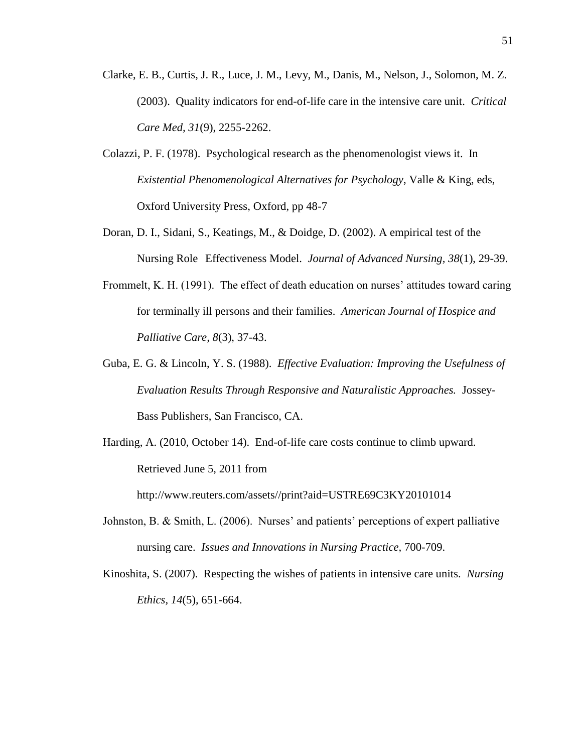- Clarke, E. B., Curtis, J. R., Luce, J. M., Levy, M., Danis, M., Nelson, J., Solomon, M. Z. (2003). Quality indicators for end-of-life care in the intensive care unit. *Critical Care Med, 31*(9), 2255-2262.
- Colazzi, P. F. (1978). Psychological research as the phenomenologist views it. In *Existential Phenomenological Alternatives for Psychology*, Valle & King, eds, Oxford University Press, Oxford, pp 48-7
- Doran, D. I., Sidani, S., Keatings, M., & Doidge, D. (2002). A empirical test of the Nursing Role Effectiveness Model. *Journal of Advanced Nursing, 38*(1), 29-39.
- Frommelt, K. H. (1991). The effect of death education on nurses' attitudes toward caring for terminally ill persons and their families. *American Journal of Hospice and Palliative Care, 8*(3), 37-43.
- Guba, E. G. & Lincoln, Y. S. (1988). *Effective Evaluation: Improving the Usefulness of Evaluation Results Through Responsive and Naturalistic Approaches.* Jossey-Bass Publishers, San Francisco, CA.
- Harding, A. (2010, October 14). End-of-life care costs continue to climb upward. Retrieved June 5, 2011 from

http://www.reuters.com/assets//print?aid=USTRE69C3KY20101014

- Johnston, B. & Smith, L. (2006). Nurses' and patients' perceptions of expert palliative nursing care. *Issues and Innovations in Nursing Practice,* 700-709.
- Kinoshita, S. (2007). Respecting the wishes of patients in intensive care units. *Nursing Ethics, 14*(5), 651-664.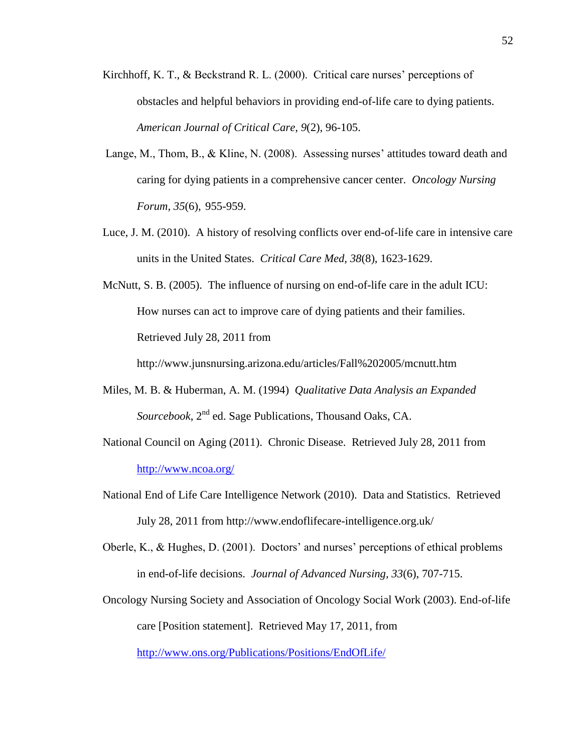- Kirchhoff, K. T., & Beckstrand R. L. (2000). Critical care nurses' perceptions of obstacles and helpful behaviors in providing end-of-life care to dying patients. *American Journal of Critical Care, 9*(2), 96-105.
- Lange, M., Thom, B., & Kline, N. (2008). Assessing nurses' attitudes toward death and caring for dying patients in a comprehensive cancer center. *Oncology Nursing Forum, 35*(6), 955-959.
- Luce, J. M. (2010). A history of resolving conflicts over end-of-life care in intensive care units in the United States. *Critical Care Med, 38*(8), 1623-1629.
- McNutt, S. B. (2005). The influence of nursing on end-of-life care in the adult ICU: How nurses can act to improve care of dying patients and their families. Retrieved July 28, 2011 from

http://www.junsnursing.arizona.edu/articles/Fall%202005/mcnutt.htm

- Miles, M. B. & Huberman, A. M. (1994) *Qualitative Data Analysis an Expanded Sourcebook*, 2nd ed. Sage Publications, Thousand Oaks, CA.
- National Council on Aging (2011). Chronic Disease. Retrieved July 28, 2011 from <http://www.ncoa.org/>
- National End of Life Care Intelligence Network (2010). Data and Statistics. Retrieved July 28, 2011 from http://www.endoflifecare-intelligence.org.uk/
- Oberle, K., & Hughes, D. (2001). Doctors' and nurses' perceptions of ethical problems in end-of-life decisions. *Journal of Advanced Nursing, 33*(6), 707-715.
- Oncology Nursing Society and Association of Oncology Social Work (2003). End-of-life care [Position statement]. Retrieved May 17, 2011, from <http://www.ons.org/Publications/Positions/EndOfLife/>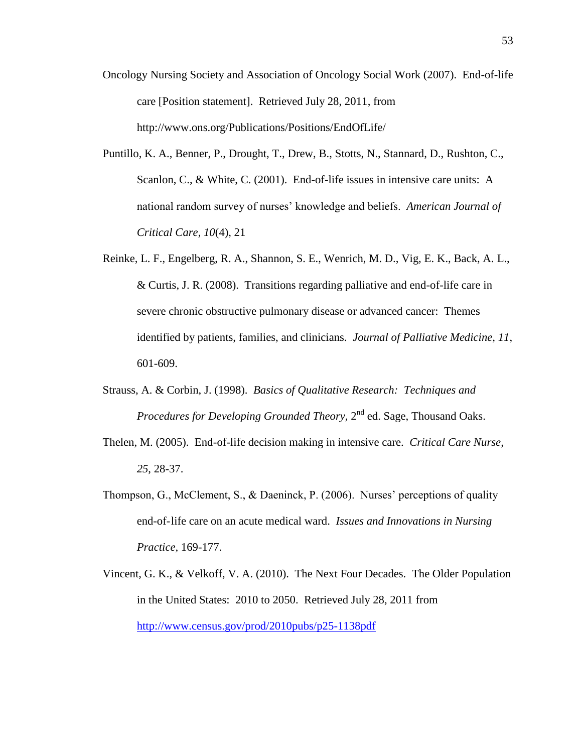- Oncology Nursing Society and Association of Oncology Social Work (2007). End-of-life care [Position statement]. Retrieved July 28, 2011, from http://www.ons.org/Publications/Positions/EndOfLife/
- Puntillo, K. A., Benner, P., Drought, T., Drew, B., Stotts, N., Stannard, D., Rushton, C., Scanlon, C., & White, C. (2001). End-of-life issues in intensive care units: A national random survey of nurses' knowledge and beliefs. *American Journal of Critical Care, 10*(4), 21
- Reinke, L. F., Engelberg, R. A., Shannon, S. E., Wenrich, M. D., Vig, E. K., Back, A. L., & Curtis, J. R. (2008). Transitions regarding palliative and end-of-life care in severe chronic obstructive pulmonary disease or advanced cancer: Themes identified by patients, families, and clinicians. *Journal of Palliative Medicine, 11*, 601-609.
- Strauss, A. & Corbin, J. (1998). *Basics of Qualitative Research: Techniques and*  Procedures for Developing Grounded Theory, 2<sup>nd</sup> ed. Sage, Thousand Oaks.
- Thelen, M. (2005). End-of-life decision making in intensive care. *Critical Care Nurse, 25*, 28-37.
- Thompson, G., McClement, S., & Daeninck, P. (2006). Nurses' perceptions of quality end-of-life care on an acute medical ward. *Issues and Innovations in Nursing Practice,* 169-177.
- Vincent, G. K., & Velkoff, V. A. (2010). The Next Four Decades. The Older Population in the United States: 2010 to 2050. Retrieved July 28, 2011 from <http://www.census.gov/prod/2010pubs/p25-1138pdf>